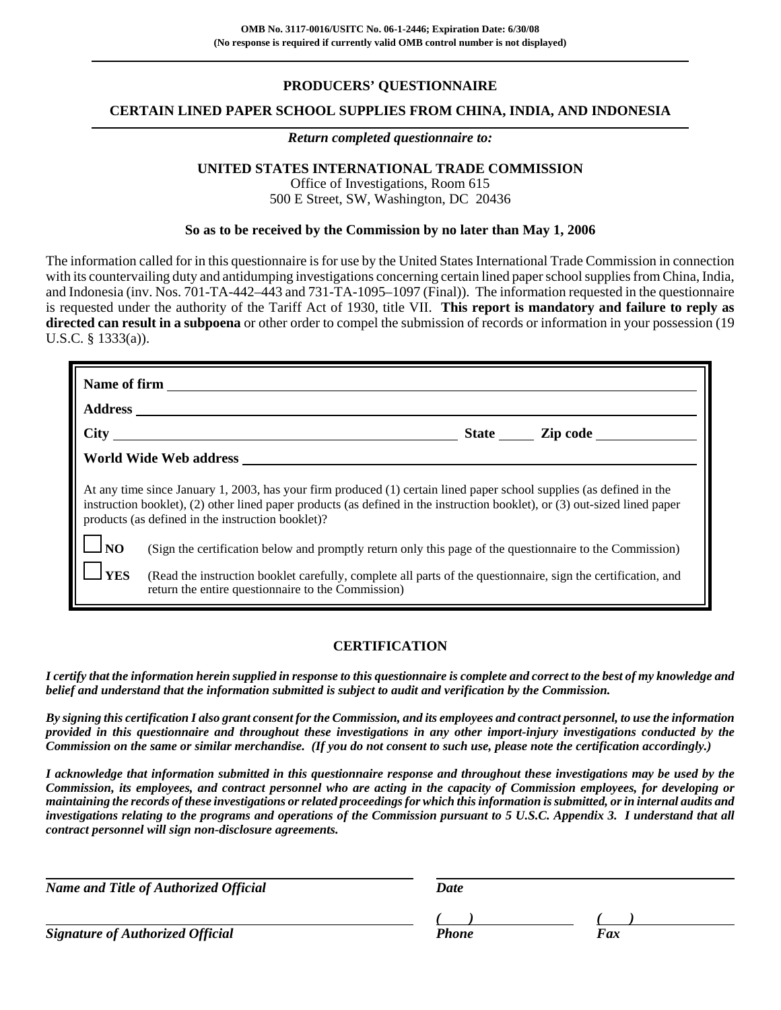## **PRODUCERS' QUESTIONNAIRE**

#### **CERTAIN LINED PAPER SCHOOL SUPPLIES FROM CHINA, INDIA, AND INDONESIA**

#### *Return completed questionnaire to:*

## **UNITED STATES INTERNATIONAL TRADE COMMISSION**

Office of Investigations, Room 615 500 E Street, SW, Washington, DC 20436

#### **So as to be received by the Commission by no later than May 1, 2006**

The information called for in this questionnaire is for use by the United States International Trade Commission in connection with its countervailing duty and antidumping investigations concerning certain lined paper school supplies from China, India, and Indonesia (inv. Nos. 701-TA-442–443 and 731-TA-1095–1097 (Final)). The information requested in the questionnaire is requested under the authority of the Tariff Act of 1930, title VII. **This report is mandatory and failure to reply as directed can result in a subpoena** or other order to compel the submission of records or information in your possession (19 U.S.C. § 1333(a)).

|                                                                                                                                                                                                                                                                                                         | Name of firm                                                                                                                                                        |  |  |  |  |
|---------------------------------------------------------------------------------------------------------------------------------------------------------------------------------------------------------------------------------------------------------------------------------------------------------|---------------------------------------------------------------------------------------------------------------------------------------------------------------------|--|--|--|--|
|                                                                                                                                                                                                                                                                                                         |                                                                                                                                                                     |  |  |  |  |
|                                                                                                                                                                                                                                                                                                         | State <u>Zip</u> code                                                                                                                                               |  |  |  |  |
|                                                                                                                                                                                                                                                                                                         | World Wide Web address                                                                                                                                              |  |  |  |  |
| At any time since January 1, 2003, has your firm produced (1) certain lined paper school supplies (as defined in the<br>instruction booklet), (2) other lined paper products (as defined in the instruction booklet), or (3) out-sized lined paper<br>products (as defined in the instruction booklet)? |                                                                                                                                                                     |  |  |  |  |
| $\log$                                                                                                                                                                                                                                                                                                  | (Sign the certification below and promptly return only this page of the questionnaire to the Commission)                                                            |  |  |  |  |
| <b>YES</b>                                                                                                                                                                                                                                                                                              | (Read the instruction booklet carefully, complete all parts of the questionnaire, sign the certification, and<br>return the entire questionnaire to the Commission) |  |  |  |  |

## **CERTIFICATION**

*I certify that the information herein supplied in response to this questionnaire is complete and correct to the best of my knowledge and belief and understand that the information submitted is subject to audit and verification by the Commission.*

*By signing this certification I also grant consent for the Commission, and its employees and contract personnel, to use the information provided in this questionnaire and throughout these investigations in any other import-injury investigations conducted by the Commission on the same or similar merchandise. (If you do not consent to such use, please note the certification accordingly.)*

*I acknowledge that information submitted in this questionnaire response and throughout these investigations may be used by the Commission, its employees, and contract personnel who are acting in the capacity of Commission employees, for developing or maintaining the records of these investigations or related proceedings for which this information is submitted, or in internal audits and investigations relating to the programs and operations of the Commission pursuant to 5 U.S.C. Appendix 3. I understand that all contract personnel will sign non-disclosure agreements.*

| Name and Title of Authorized Official   | Date  |     |  |
|-----------------------------------------|-------|-----|--|
|                                         |       |     |  |
| <b>Signature of Authorized Official</b> | Phone | Fax |  |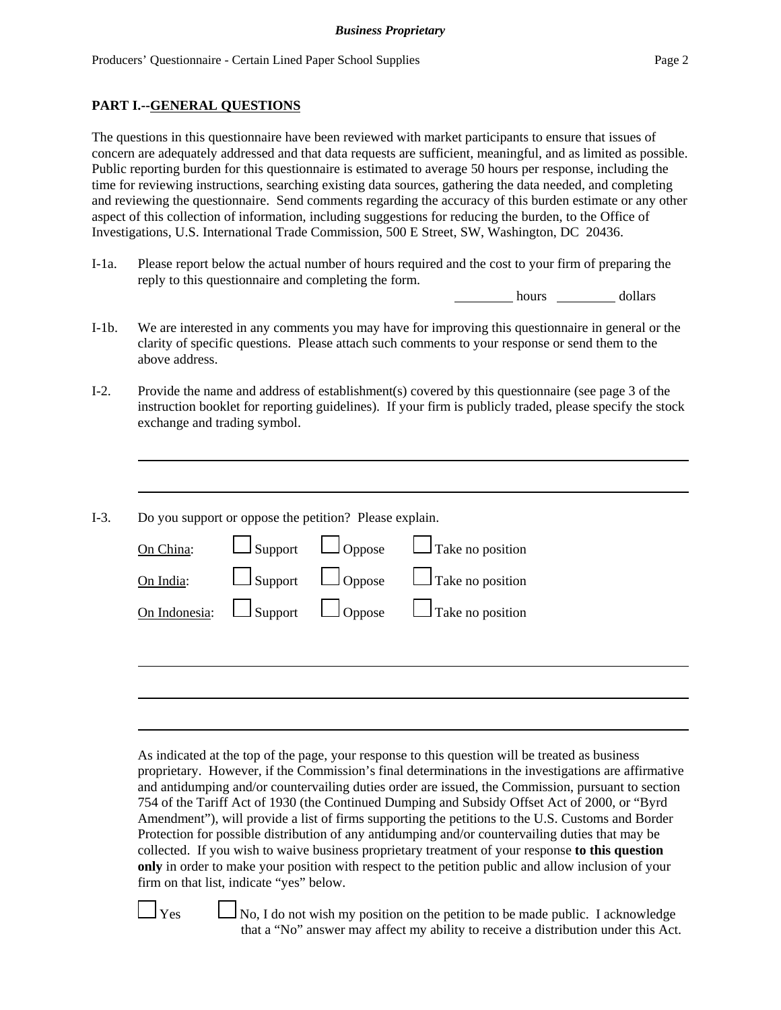#### **PART I.--GENERAL QUESTIONS**

The questions in this questionnaire have been reviewed with market participants to ensure that issues of concern are adequately addressed and that data requests are sufficient, meaningful, and as limited as possible. Public reporting burden for this questionnaire is estimated to average 50 hours per response, including the time for reviewing instructions, searching existing data sources, gathering the data needed, and completing and reviewing the questionnaire. Send comments regarding the accuracy of this burden estimate or any other aspect of this collection of information, including suggestions for reducing the burden, to the Office of Investigations, U.S. International Trade Commission, 500 E Street, SW, Washington, DC 20436.

I-1a. Please report below the actual number of hours required and the cost to your firm of preparing the reply to this questionnaire and completing the form.

hours dollars

- I-1b. We are interested in any comments you may have for improving this questionnaire in general or the clarity of specific questions. Please attach such comments to your response or send them to the above address.
- I-2. Provide the name and address of establishment(s) covered by this questionnaire (see page 3 of the instruction booklet for reporting guidelines). If your firm is publicly traded, please specify the stock exchange and trading symbol.
- I-3. Do you support or oppose the petition? Please explain. On China:  $\Box$  Support  $\Box$  Oppose  $\Box$  Take no position On India:  $\Box$  Support  $\Box$  Oppose  $\Box$  Take no position On Indonesia:  $\Box$  Support  $\Box$  Oppose  $\Box$  Take no position

As indicated at the top of the page, your response to this question will be treated as business proprietary. However, if the Commission's final determinations in the investigations are affirmative and antidumping and/or countervailing duties order are issued, the Commission, pursuant to section 754 of the Tariff Act of 1930 (the Continued Dumping and Subsidy Offset Act of 2000, or "Byrd Amendment"), will provide a list of firms supporting the petitions to the U.S. Customs and Border Protection for possible distribution of any antidumping and/or countervailing duties that may be collected. If you wish to waive business proprietary treatment of your response **to this question only** in order to make your position with respect to the petition public and allow inclusion of your firm on that list, indicate "yes" below.

 $\Box$  Yes  $\Box$  No, I do not wish my position on the petition to be made public. I acknowledge that a "No" answer may affect my ability to receive a distribution under this Act.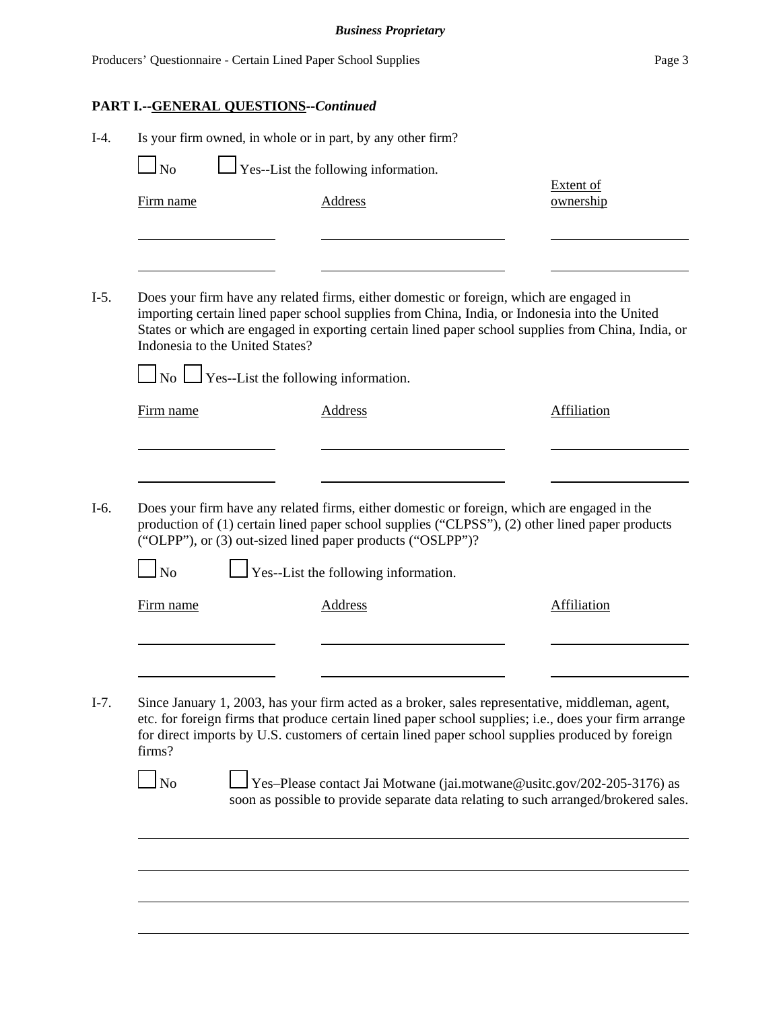# **PART I.--GENERAL QUESTIONS--***Continued*

| Is your firm owned, in whole or in part, by any other firm?<br>$\Box$ No | $\Box$ Yes--List the following information.                                                                                                                                                                                                                                                                                                                                                |                               |
|--------------------------------------------------------------------------|--------------------------------------------------------------------------------------------------------------------------------------------------------------------------------------------------------------------------------------------------------------------------------------------------------------------------------------------------------------------------------------------|-------------------------------|
| Firm name                                                                | <b>Address</b>                                                                                                                                                                                                                                                                                                                                                                             | <b>Extent of</b><br>ownership |
|                                                                          | Does your firm have any related firms, either domestic or foreign, which are engaged in<br>importing certain lined paper school supplies from China, India, or Indonesia into the United<br>States or which are engaged in exporting certain lined paper school supplies from China, India, or<br>Indonesia to the United States?<br>$\Box$ No $\Box$ Yes--List the following information. |                               |
| Firm name                                                                | Address                                                                                                                                                                                                                                                                                                                                                                                    | <b>Affiliation</b>            |
|                                                                          |                                                                                                                                                                                                                                                                                                                                                                                            |                               |
| $1_{\rm No}$                                                             | Does your firm have any related firms, either domestic or foreign, which are engaged in the<br>production of (1) certain lined paper school supplies ("CLPSS"), (2) other lined paper products<br>("OLPP"), or (3) out-sized lined paper products ("OSLPP")?<br>$\perp$ Yes--List the following information.                                                                               |                               |
| Firm name                                                                | <b>Address</b>                                                                                                                                                                                                                                                                                                                                                                             | <b>Affiliation</b>            |
|                                                                          | Since January 1, 2003, has your firm acted as a broker, sales representative, middleman, agent,<br>etc. for foreign firms that produce certain lined paper school supplies; i.e., does your firm arrange<br>for direct imports by U.S. customers of certain lined paper school supplies produced by foreign                                                                                |                               |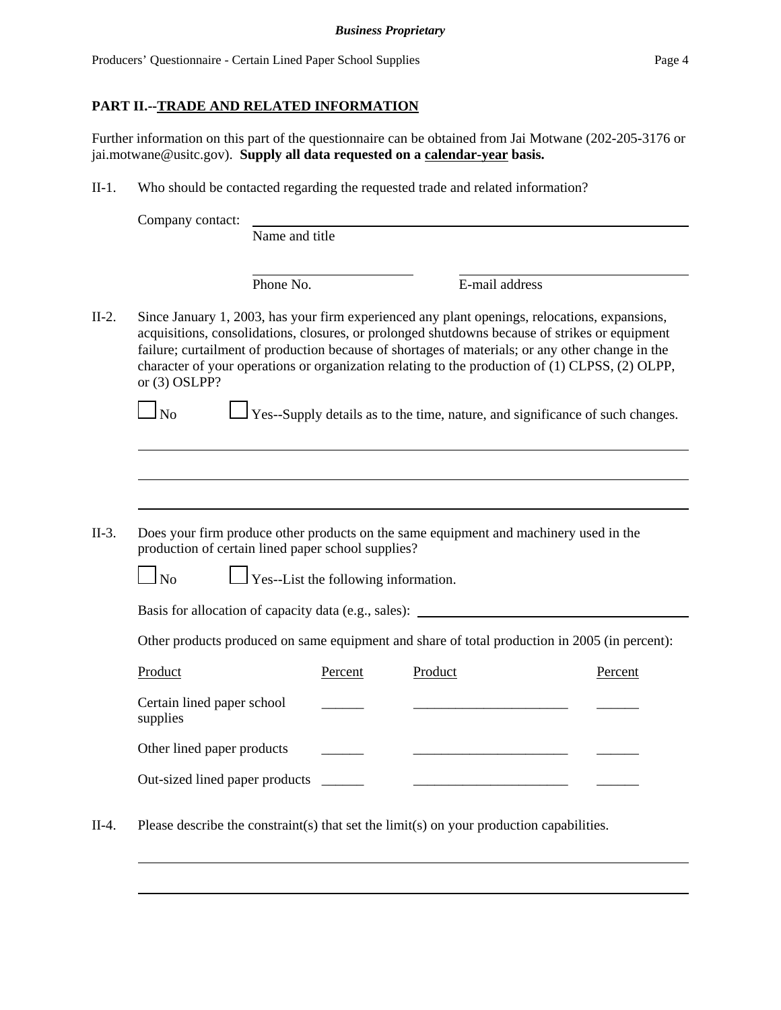# **PART II.--TRADE AND RELATED INFORMATION**

Further information on this part of the questionnaire can be obtained from Jai Motwane (202-205-3176 or jai.motwane@usitc.gov). **Supply all data requested on a calendar-year basis.**

II-1. Who should be contacted regarding the requested trade and related information?

|         | Company contact:                                                     |                |                                      |         |                                                                                                                                                                                                                                                                                                                                                                                                        |         |
|---------|----------------------------------------------------------------------|----------------|--------------------------------------|---------|--------------------------------------------------------------------------------------------------------------------------------------------------------------------------------------------------------------------------------------------------------------------------------------------------------------------------------------------------------------------------------------------------------|---------|
|         |                                                                      | Name and title |                                      |         |                                                                                                                                                                                                                                                                                                                                                                                                        |         |
|         |                                                                      | Phone No.      |                                      |         | E-mail address                                                                                                                                                                                                                                                                                                                                                                                         |         |
| $II-2.$ | or $(3)$ OSLPP?                                                      |                |                                      |         | Since January 1, 2003, has your firm experienced any plant openings, relocations, expansions,<br>acquisitions, consolidations, closures, or prolonged shutdowns because of strikes or equipment<br>failure; curtailment of production because of shortages of materials; or any other change in the<br>character of your operations or organization relating to the production of (1) CLPSS, (2) OLPP, |         |
|         | $1_{\mathrm{No}}$                                                    |                |                                      |         | Yes--Supply details as to the time, nature, and significance of such changes.                                                                                                                                                                                                                                                                                                                          |         |
|         |                                                                      |                |                                      |         |                                                                                                                                                                                                                                                                                                                                                                                                        |         |
|         |                                                                      |                |                                      |         |                                                                                                                                                                                                                                                                                                                                                                                                        |         |
| $II-3.$ | production of certain lined paper school supplies?<br>N <sub>0</sub> |                | Yes--List the following information. |         | Does your firm produce other products on the same equipment and machinery used in the                                                                                                                                                                                                                                                                                                                  |         |
|         |                                                                      |                |                                      |         | Basis for allocation of capacity data (e.g., sales): ____________________________                                                                                                                                                                                                                                                                                                                      |         |
|         |                                                                      |                |                                      |         | Other products produced on same equipment and share of total production in 2005 (in percent):                                                                                                                                                                                                                                                                                                          |         |
|         | Product                                                              |                | Percent                              | Product |                                                                                                                                                                                                                                                                                                                                                                                                        | Percent |
|         | Certain lined paper school<br>supplies                               |                |                                      |         |                                                                                                                                                                                                                                                                                                                                                                                                        |         |
|         | Other lined paper products                                           |                |                                      |         |                                                                                                                                                                                                                                                                                                                                                                                                        |         |
|         | Out-sized lined paper products                                       |                |                                      |         |                                                                                                                                                                                                                                                                                                                                                                                                        |         |
| $II-4.$ |                                                                      |                |                                      |         | Please describe the constraint(s) that set the limit(s) on your production capabilities.                                                                                                                                                                                                                                                                                                               |         |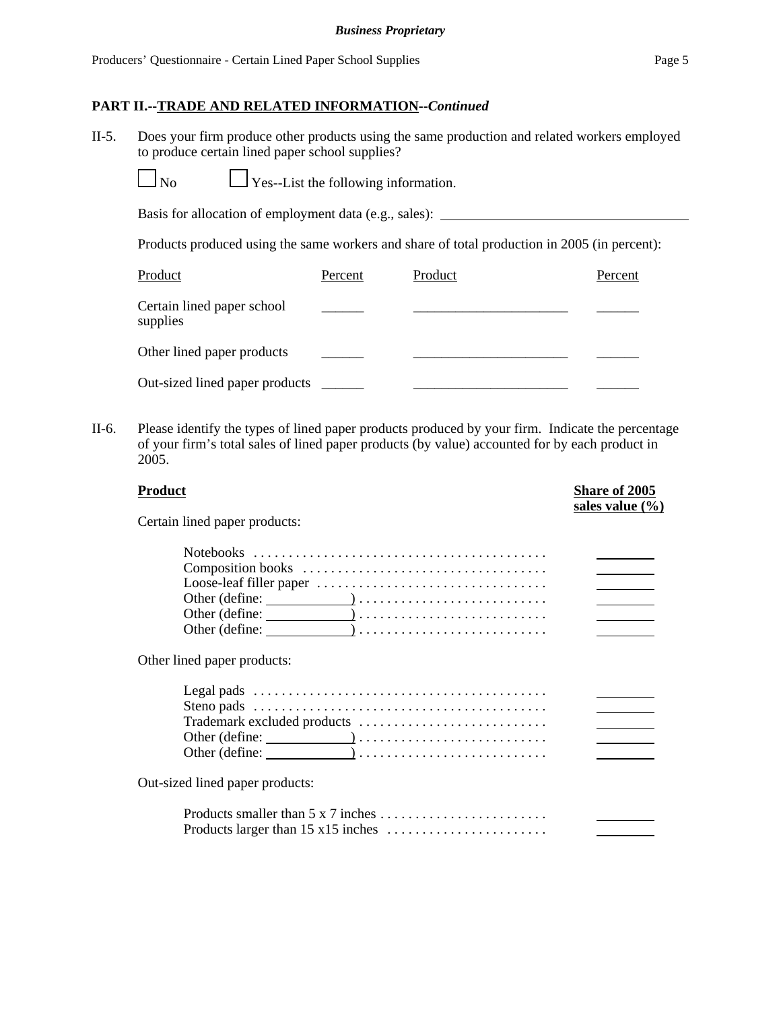#### **PART II.--TRADE AND RELATED INFORMATION--***Continued*

II-5. Does your firm produce other products using the same production and related workers employed to produce certain lined paper school supplies?

 $\Box$  Yes--List the following information.

Basis for allocation of employment data (e.g., sales):

Products produced using the same workers and share of total production in 2005 (in percent):

| Product                                | Percent | Product | Percent |
|----------------------------------------|---------|---------|---------|
| Certain lined paper school<br>supplies |         |         |         |
| Other lined paper products             |         |         |         |
| Out-sized lined paper products         |         |         |         |

II-6. Please identify the types of lined paper products produced by your firm. Indicate the percentage of your firm's total sales of lined paper products (by value) accounted for by each product in 2005.

| <b>Product</b>                  | <b>Share of 2005</b><br>sales value $(\% )$ |
|---------------------------------|---------------------------------------------|
| Certain lined paper products:   |                                             |
|                                 |                                             |
|                                 |                                             |
|                                 |                                             |
|                                 | <b>Contract Contract Contract</b>           |
|                                 |                                             |
|                                 |                                             |
| Other lined paper products:     |                                             |
|                                 |                                             |
|                                 |                                             |
|                                 |                                             |
|                                 |                                             |
|                                 |                                             |
| Out-sized lined paper products: |                                             |
|                                 |                                             |
|                                 |                                             |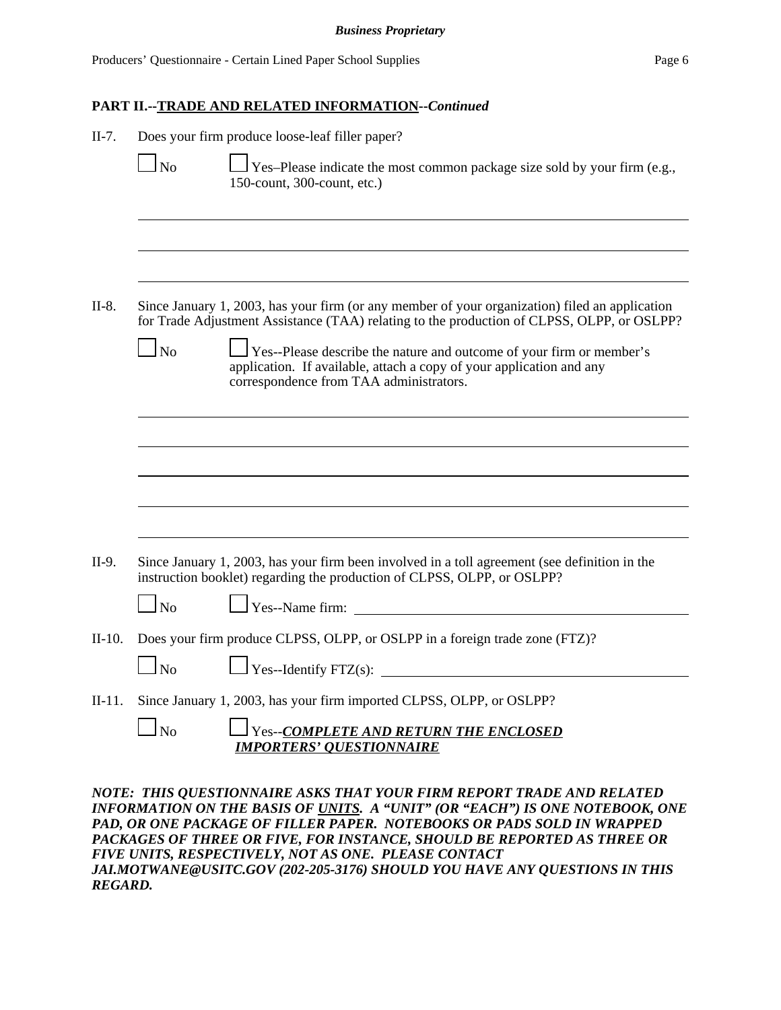# **PART II.--TRADE AND RELATED INFORMATION--***Continued*

| $II-7.$  | $\Box$ No              | Does your firm produce loose-leaf filler paper?<br>□ Yes–Please indicate the most common package size sold by your firm (e.g.,<br>150-count, 300-count, etc.)                                                                                                                                                                                                      |
|----------|------------------------|--------------------------------------------------------------------------------------------------------------------------------------------------------------------------------------------------------------------------------------------------------------------------------------------------------------------------------------------------------------------|
| $II-8.$  |                        | Since January 1, 2003, has your firm (or any member of your organization) filed an application                                                                                                                                                                                                                                                                     |
|          | $\Box$ No              | for Trade Adjustment Assistance (TAA) relating to the production of CLPSS, OLPP, or OSLPP?<br>Yes--Please describe the nature and outcome of your firm or member's<br>application. If available, attach a copy of your application and any<br>correspondence from TAA administrators.                                                                              |
|          |                        |                                                                                                                                                                                                                                                                                                                                                                    |
|          |                        |                                                                                                                                                                                                                                                                                                                                                                    |
| II-9.    |                        | Since January 1, 2003, has your firm been involved in a toll agreement (see definition in the<br>instruction booklet) regarding the production of CLPSS, OLPP, or OSLPP?                                                                                                                                                                                           |
|          | $\Box$ No              |                                                                                                                                                                                                                                                                                                                                                                    |
| $II-10.$ | $\overline{\text{No}}$ | Does your firm produce CLPSS, OLPP, or OSLPP in a foreign trade zone (FTZ)?                                                                                                                                                                                                                                                                                        |
| $II-11.$ | $\Box$ No              | Since January 1, 2003, has your firm imported CLPSS, OLPP, or OSLPP?<br>Yes--COMPLETE AND RETURN THE ENCLOSED<br><b>IMPORTERS' QUESTIONNAIRE</b>                                                                                                                                                                                                                   |
|          |                        | NOTE: THIS QUESTIONNAIRE ASKS THAT YOUR FIRM REPORT TRADE AND RELATED<br>INFORMATION ON THE BASIS OF UNITS. A "UNIT" (OR "EACH") IS ONE NOTEBOOK, ONE<br>PAD, OR ONE PACKAGE OF FILLER PAPER. NOTEBOOKS OR PADS SOLD IN WRAPPED<br>PACKAGES OF THREE OR FIVE, FOR INSTANCE, SHOULD BE REPORTED AS THREE OR<br>FIVE UNITS, RESPECTIVELY, NOT AS ONE. PLEASE CONTACT |

*JAI.MOTWANE@USITC.GOV (202-205-3176) SHOULD YOU HAVE ANY QUESTIONS IN THIS REGARD.*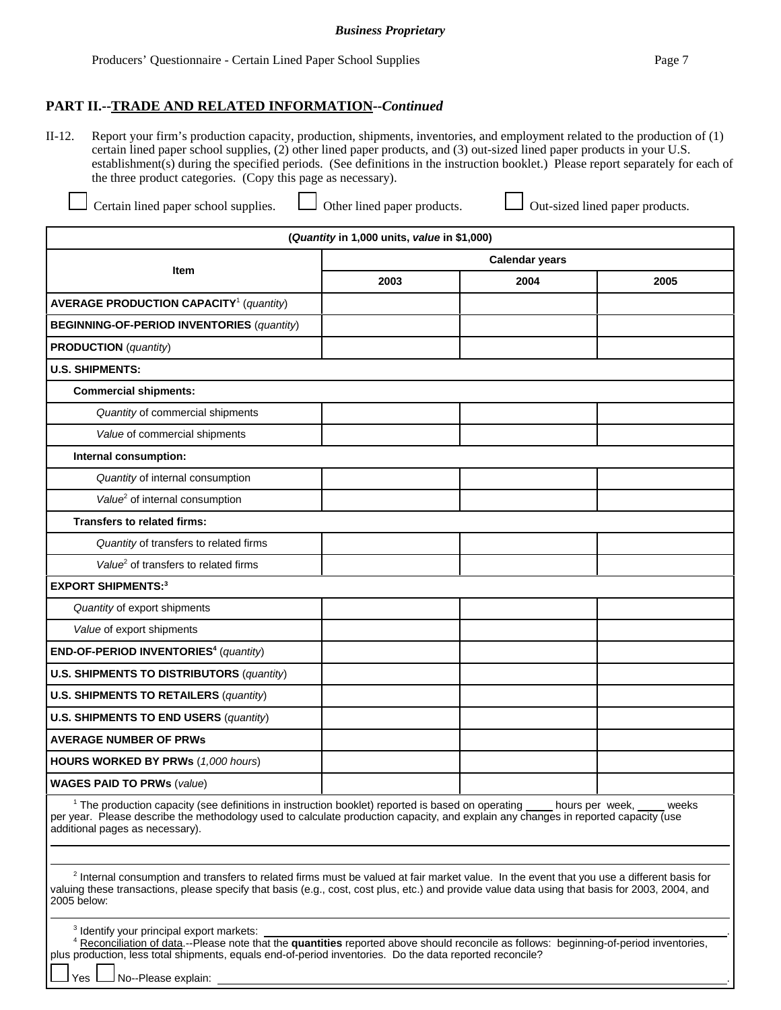II-12. Report your firm's production capacity, production, shipments, inventories, and employment related to the production of (1) certain lined paper school supplies, (2) other lined paper products, and (3) out-sized lined paper products in your U.S. establishment(s) during the specified periods. (See definitions in the instruction booklet.) Please report separately for each of the three product categories. (Copy this page as necessary).

Certain lined paper school supplies.  $\Box$  Other lined paper products.  $\Box$  Out-sized lined paper products.

 $\Gamma$ 

| (Quantity in 1,000 units, value in \$1,000)                                                                                                                                                                                                                                                                                                                                                                                                                                                                                                                                                                                     |                       |      |      |  |  |
|---------------------------------------------------------------------------------------------------------------------------------------------------------------------------------------------------------------------------------------------------------------------------------------------------------------------------------------------------------------------------------------------------------------------------------------------------------------------------------------------------------------------------------------------------------------------------------------------------------------------------------|-----------------------|------|------|--|--|
| <b>Item</b>                                                                                                                                                                                                                                                                                                                                                                                                                                                                                                                                                                                                                     | <b>Calendar years</b> |      |      |  |  |
|                                                                                                                                                                                                                                                                                                                                                                                                                                                                                                                                                                                                                                 | 2003                  | 2004 | 2005 |  |  |
| <b>AVERAGE PRODUCTION CAPACITY<sup>1</sup></b> (quantity)                                                                                                                                                                                                                                                                                                                                                                                                                                                                                                                                                                       |                       |      |      |  |  |
| <b>BEGINNING-OF-PERIOD INVENTORIES (quantity)</b>                                                                                                                                                                                                                                                                                                                                                                                                                                                                                                                                                                               |                       |      |      |  |  |
| <b>PRODUCTION</b> (quantity)                                                                                                                                                                                                                                                                                                                                                                                                                                                                                                                                                                                                    |                       |      |      |  |  |
| <b>U.S. SHIPMENTS:</b>                                                                                                                                                                                                                                                                                                                                                                                                                                                                                                                                                                                                          |                       |      |      |  |  |
| <b>Commercial shipments:</b>                                                                                                                                                                                                                                                                                                                                                                                                                                                                                                                                                                                                    |                       |      |      |  |  |
| Quantity of commercial shipments                                                                                                                                                                                                                                                                                                                                                                                                                                                                                                                                                                                                |                       |      |      |  |  |
| Value of commercial shipments                                                                                                                                                                                                                                                                                                                                                                                                                                                                                                                                                                                                   |                       |      |      |  |  |
| Internal consumption:                                                                                                                                                                                                                                                                                                                                                                                                                                                                                                                                                                                                           |                       |      |      |  |  |
| Quantity of internal consumption                                                                                                                                                                                                                                                                                                                                                                                                                                                                                                                                                                                                |                       |      |      |  |  |
| Value <sup>2</sup> of internal consumption                                                                                                                                                                                                                                                                                                                                                                                                                                                                                                                                                                                      |                       |      |      |  |  |
| Transfers to related firms:                                                                                                                                                                                                                                                                                                                                                                                                                                                                                                                                                                                                     |                       |      |      |  |  |
| Quantity of transfers to related firms                                                                                                                                                                                                                                                                                                                                                                                                                                                                                                                                                                                          |                       |      |      |  |  |
| Value <sup>2</sup> of transfers to related firms                                                                                                                                                                                                                                                                                                                                                                                                                                                                                                                                                                                |                       |      |      |  |  |
| <b>EXPORT SHIPMENTS:3</b>                                                                                                                                                                                                                                                                                                                                                                                                                                                                                                                                                                                                       |                       |      |      |  |  |
| Quantity of export shipments                                                                                                                                                                                                                                                                                                                                                                                                                                                                                                                                                                                                    |                       |      |      |  |  |
| Value of export shipments                                                                                                                                                                                                                                                                                                                                                                                                                                                                                                                                                                                                       |                       |      |      |  |  |
| END-OF-PERIOD INVENTORIES <sup>4</sup> (quantity)                                                                                                                                                                                                                                                                                                                                                                                                                                                                                                                                                                               |                       |      |      |  |  |
| <b>U.S. SHIPMENTS TO DISTRIBUTORS (quantity)</b>                                                                                                                                                                                                                                                                                                                                                                                                                                                                                                                                                                                |                       |      |      |  |  |
| <b>U.S. SHIPMENTS TO RETAILERS (quantity)</b>                                                                                                                                                                                                                                                                                                                                                                                                                                                                                                                                                                                   |                       |      |      |  |  |
| <b>U.S. SHIPMENTS TO END USERS (quantity)</b>                                                                                                                                                                                                                                                                                                                                                                                                                                                                                                                                                                                   |                       |      |      |  |  |
| <b>AVERAGE NUMBER OF PRWS</b>                                                                                                                                                                                                                                                                                                                                                                                                                                                                                                                                                                                                   |                       |      |      |  |  |
| HOURS WORKED BY PRWs (1,000 hours)                                                                                                                                                                                                                                                                                                                                                                                                                                                                                                                                                                                              |                       |      |      |  |  |
| <b>WAGES PAID TO PRWs (value)</b>                                                                                                                                                                                                                                                                                                                                                                                                                                                                                                                                                                                               |                       |      |      |  |  |
| <sup>1</sup> The production capacity (see definitions in instruction booklet) reported is based on operating ____ hours per week,<br>weeks<br>per year. Please describe the methodology used to calculate production capacity, and explain any changes in reported capacity (use<br>additional pages as necessary).<br><sup>2</sup> Internal consumption and transfers to related firms must be valued at fair market value. In the event that you use a different basis for<br>valuing these transactions, please specify that basis (e.g., cost, cost plus, etc.) and provide value data using that basis for 2003, 2004, and |                       |      |      |  |  |
| 2005 below:<br><sup>3</sup> Identify your principal export markets:<br>4 Reconciliation of data.--Please note that the quantities reported above should reconcile as follows: beginning-of-period inventories,                                                                                                                                                                                                                                                                                                                                                                                                                  |                       |      |      |  |  |
| plus production, less total shipments, equals end-of-period inventories. Do the data reported reconcile?<br>No--Please explain:<br>Yes                                                                                                                                                                                                                                                                                                                                                                                                                                                                                          |                       |      |      |  |  |

٦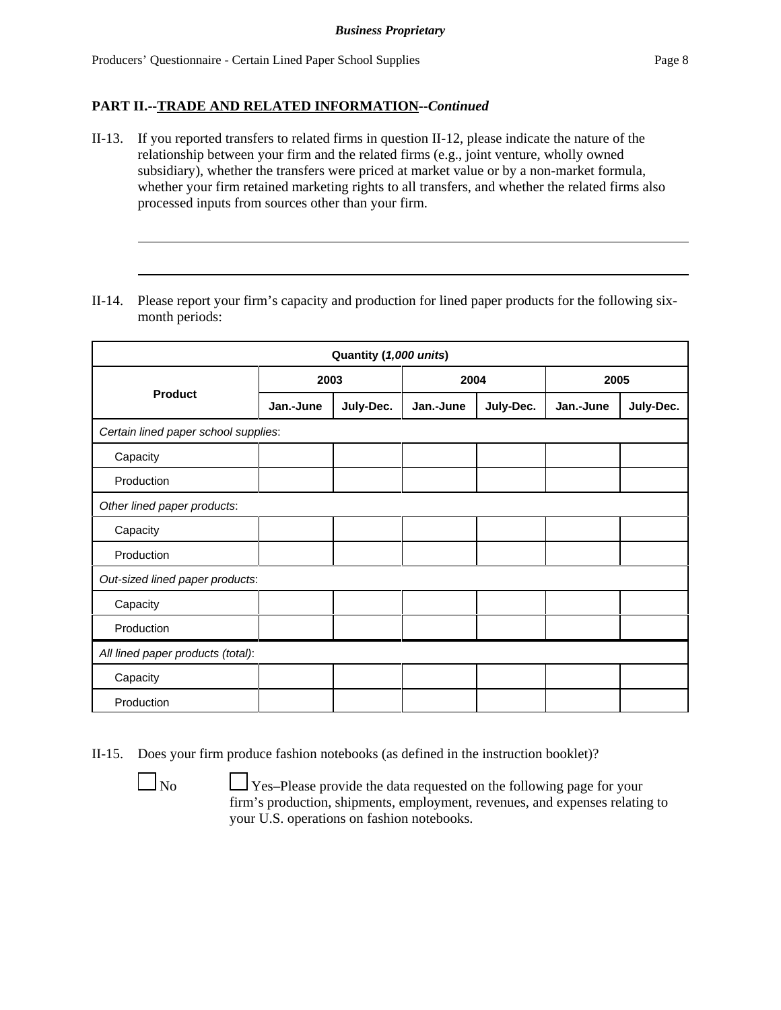## **PART II.--TRADE AND RELATED INFORMATION--***Continued*

- II-13. If you reported transfers to related firms in question II-12, please indicate the nature of the relationship between your firm and the related firms (e.g., joint venture, wholly owned subsidiary), whether the transfers were priced at market value or by a non-market formula, whether your firm retained marketing rights to all transfers, and whether the related firms also processed inputs from sources other than your firm.
- II-14. Please report your firm's capacity and production for lined paper products for the following sixmonth periods:

| Quantity (1,000 units)               |           |           |           |           |           |           |  |
|--------------------------------------|-----------|-----------|-----------|-----------|-----------|-----------|--|
|                                      | 2003      |           | 2004      |           | 2005      |           |  |
| <b>Product</b>                       | Jan.-June | July-Dec. | Jan.-June | July-Dec. | Jan.-June | July-Dec. |  |
| Certain lined paper school supplies: |           |           |           |           |           |           |  |
| Capacity                             |           |           |           |           |           |           |  |
| Production                           |           |           |           |           |           |           |  |
| Other lined paper products:          |           |           |           |           |           |           |  |
| Capacity                             |           |           |           |           |           |           |  |
| Production                           |           |           |           |           |           |           |  |
| Out-sized lined paper products:      |           |           |           |           |           |           |  |
| Capacity                             |           |           |           |           |           |           |  |
| Production                           |           |           |           |           |           |           |  |
| All lined paper products (total):    |           |           |           |           |           |           |  |
| Capacity                             |           |           |           |           |           |           |  |
| Production                           |           |           |           |           |           |           |  |

II-15. Does your firm produce fashion notebooks (as defined in the instruction booklet)?

 $\Box$  No  $\Box$  Yes–Please provide the data requested on the following page for your firm's production, shipments, employment, revenues, and expenses relating to your U.S. operations on fashion notebooks.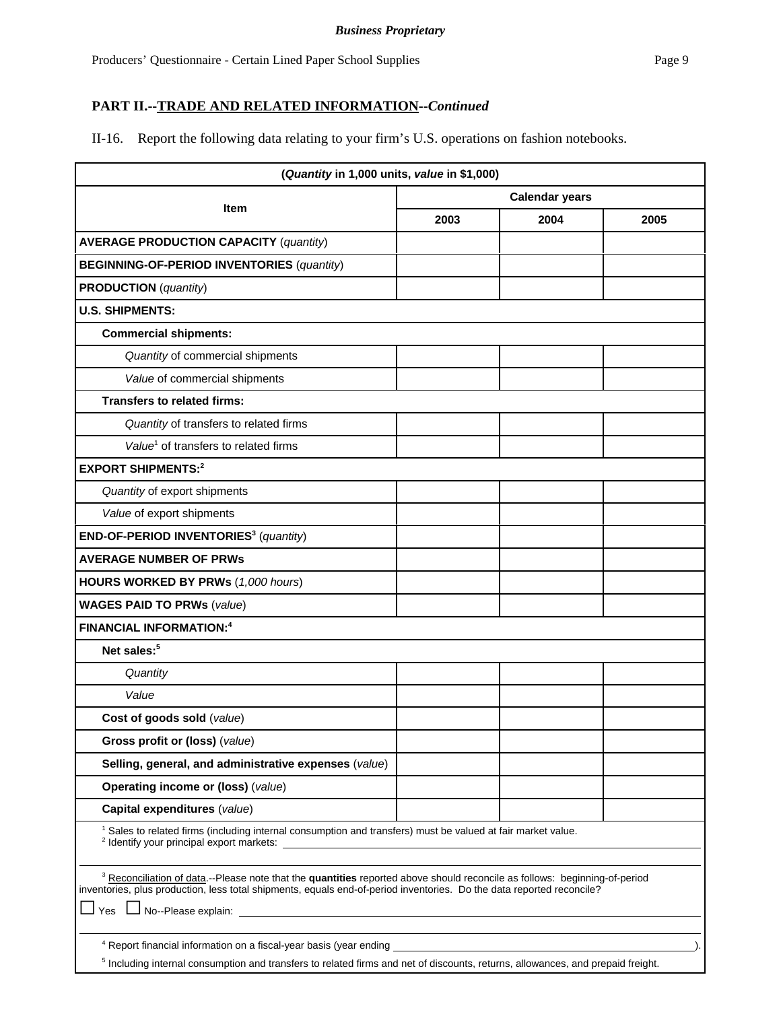# **PART II.--TRADE AND RELATED INFORMATION--***Continued*

II-16. Report the following data relating to your firm's U.S. operations on fashion notebooks.

|      | <b>Calendar years</b> |                                                                                                                                                                                                                                                                                                                                                                                                                                                                                                                                                                                                                                   |
|------|-----------------------|-----------------------------------------------------------------------------------------------------------------------------------------------------------------------------------------------------------------------------------------------------------------------------------------------------------------------------------------------------------------------------------------------------------------------------------------------------------------------------------------------------------------------------------------------------------------------------------------------------------------------------------|
|      |                       |                                                                                                                                                                                                                                                                                                                                                                                                                                                                                                                                                                                                                                   |
| 2003 | 2004                  | 2005                                                                                                                                                                                                                                                                                                                                                                                                                                                                                                                                                                                                                              |
|      |                       |                                                                                                                                                                                                                                                                                                                                                                                                                                                                                                                                                                                                                                   |
|      |                       |                                                                                                                                                                                                                                                                                                                                                                                                                                                                                                                                                                                                                                   |
|      |                       |                                                                                                                                                                                                                                                                                                                                                                                                                                                                                                                                                                                                                                   |
|      |                       |                                                                                                                                                                                                                                                                                                                                                                                                                                                                                                                                                                                                                                   |
|      |                       |                                                                                                                                                                                                                                                                                                                                                                                                                                                                                                                                                                                                                                   |
|      |                       |                                                                                                                                                                                                                                                                                                                                                                                                                                                                                                                                                                                                                                   |
|      |                       |                                                                                                                                                                                                                                                                                                                                                                                                                                                                                                                                                                                                                                   |
|      |                       |                                                                                                                                                                                                                                                                                                                                                                                                                                                                                                                                                                                                                                   |
|      |                       |                                                                                                                                                                                                                                                                                                                                                                                                                                                                                                                                                                                                                                   |
|      |                       |                                                                                                                                                                                                                                                                                                                                                                                                                                                                                                                                                                                                                                   |
|      |                       |                                                                                                                                                                                                                                                                                                                                                                                                                                                                                                                                                                                                                                   |
|      |                       |                                                                                                                                                                                                                                                                                                                                                                                                                                                                                                                                                                                                                                   |
|      |                       |                                                                                                                                                                                                                                                                                                                                                                                                                                                                                                                                                                                                                                   |
|      |                       |                                                                                                                                                                                                                                                                                                                                                                                                                                                                                                                                                                                                                                   |
|      |                       |                                                                                                                                                                                                                                                                                                                                                                                                                                                                                                                                                                                                                                   |
|      |                       |                                                                                                                                                                                                                                                                                                                                                                                                                                                                                                                                                                                                                                   |
|      |                       |                                                                                                                                                                                                                                                                                                                                                                                                                                                                                                                                                                                                                                   |
|      |                       |                                                                                                                                                                                                                                                                                                                                                                                                                                                                                                                                                                                                                                   |
|      |                       |                                                                                                                                                                                                                                                                                                                                                                                                                                                                                                                                                                                                                                   |
|      |                       |                                                                                                                                                                                                                                                                                                                                                                                                                                                                                                                                                                                                                                   |
|      |                       |                                                                                                                                                                                                                                                                                                                                                                                                                                                                                                                                                                                                                                   |
|      |                       |                                                                                                                                                                                                                                                                                                                                                                                                                                                                                                                                                                                                                                   |
|      |                       |                                                                                                                                                                                                                                                                                                                                                                                                                                                                                                                                                                                                                                   |
|      |                       |                                                                                                                                                                                                                                                                                                                                                                                                                                                                                                                                                                                                                                   |
|      |                       |                                                                                                                                                                                                                                                                                                                                                                                                                                                                                                                                                                                                                                   |
|      |                       |                                                                                                                                                                                                                                                                                                                                                                                                                                                                                                                                                                                                                                   |
|      |                       |                                                                                                                                                                                                                                                                                                                                                                                                                                                                                                                                                                                                                                   |
|      |                       |                                                                                                                                                                                                                                                                                                                                                                                                                                                                                                                                                                                                                                   |
|      |                       |                                                                                                                                                                                                                                                                                                                                                                                                                                                                                                                                                                                                                                   |
|      |                       | <sup>1</sup> Sales to related firms (including internal consumption and transfers) must be valued at fair market value.<br><sup>3</sup> Reconciliation of data.--Please note that the quantities reported above should reconcile as follows: beginning-of-period<br>inventories, plus production, less total shipments, equals end-of-period inventories. Do the data reported reconcile?<br>No--Please explain: <u>contract and contract and contract and contract and contract and contract and contract and contract and contract and contract and contract and contract and contract and contract and contract and contra</u> |

<sup>5</sup> Including internal consumption and transfers to related firms and net of discounts, returns, allowances, and prepaid freight.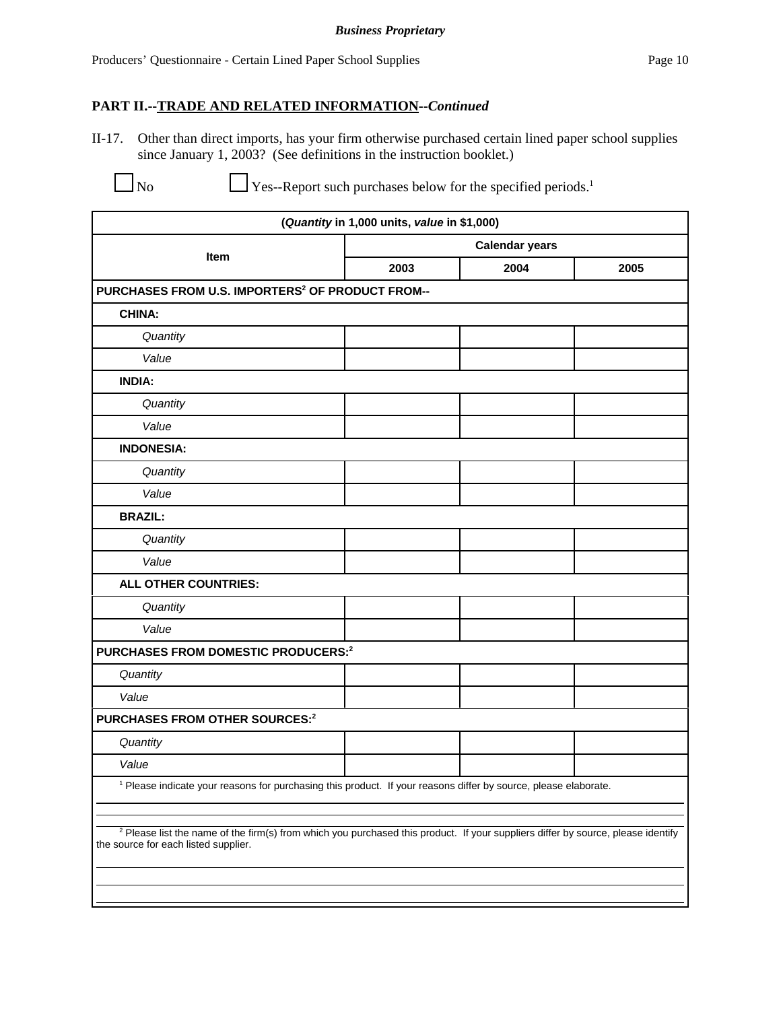# **PART II.--TRADE AND RELATED INFORMATION--***Continued*

II-17. Other than direct imports, has your firm otherwise purchased certain lined paper school supplies since January 1, 2003? (See definitions in the instruction booklet.)

 $\Box$  No  $\Box$  Yes--Report such purchases below for the specified periods.<sup>1</sup>

| (Quantity in 1,000 units, value in \$1,000)                                                                                                                                         |                                                                                                               |                       |      |  |  |
|-------------------------------------------------------------------------------------------------------------------------------------------------------------------------------------|---------------------------------------------------------------------------------------------------------------|-----------------------|------|--|--|
| Item                                                                                                                                                                                |                                                                                                               | <b>Calendar years</b> |      |  |  |
|                                                                                                                                                                                     | 2003                                                                                                          | 2004                  | 2005 |  |  |
| PURCHASES FROM U.S. IMPORTERS <sup>2</sup> OF PRODUCT FROM--                                                                                                                        |                                                                                                               |                       |      |  |  |
| <b>CHINA:</b>                                                                                                                                                                       |                                                                                                               |                       |      |  |  |
| Quantity                                                                                                                                                                            |                                                                                                               |                       |      |  |  |
| Value                                                                                                                                                                               |                                                                                                               |                       |      |  |  |
| <b>INDIA:</b>                                                                                                                                                                       |                                                                                                               |                       |      |  |  |
| Quantity                                                                                                                                                                            |                                                                                                               |                       |      |  |  |
| Value                                                                                                                                                                               |                                                                                                               |                       |      |  |  |
| <b>INDONESIA:</b>                                                                                                                                                                   |                                                                                                               |                       |      |  |  |
| Quantity                                                                                                                                                                            |                                                                                                               |                       |      |  |  |
| Value                                                                                                                                                                               |                                                                                                               |                       |      |  |  |
| <b>BRAZIL:</b>                                                                                                                                                                      |                                                                                                               |                       |      |  |  |
| Quantity                                                                                                                                                                            |                                                                                                               |                       |      |  |  |
| Value                                                                                                                                                                               |                                                                                                               |                       |      |  |  |
| <b>ALL OTHER COUNTRIES:</b>                                                                                                                                                         |                                                                                                               |                       |      |  |  |
| Quantity                                                                                                                                                                            |                                                                                                               |                       |      |  |  |
| Value                                                                                                                                                                               |                                                                                                               |                       |      |  |  |
| PURCHASES FROM DOMESTIC PRODUCERS:2                                                                                                                                                 |                                                                                                               |                       |      |  |  |
| Quantity                                                                                                                                                                            |                                                                                                               |                       |      |  |  |
| Value                                                                                                                                                                               |                                                                                                               |                       |      |  |  |
| PURCHASES FROM OTHER SOURCES:2                                                                                                                                                      |                                                                                                               |                       |      |  |  |
| Quantity                                                                                                                                                                            |                                                                                                               |                       |      |  |  |
| Value                                                                                                                                                                               |                                                                                                               |                       |      |  |  |
|                                                                                                                                                                                     | Please indicate your reasons for purchasing this product. If your reasons differ by source, please elaborate. |                       |      |  |  |
| <sup>2</sup> Please list the name of the firm(s) from which you purchased this product. If your suppliers differ by source, please identify<br>the source for each listed supplier. |                                                                                                               |                       |      |  |  |
|                                                                                                                                                                                     |                                                                                                               |                       |      |  |  |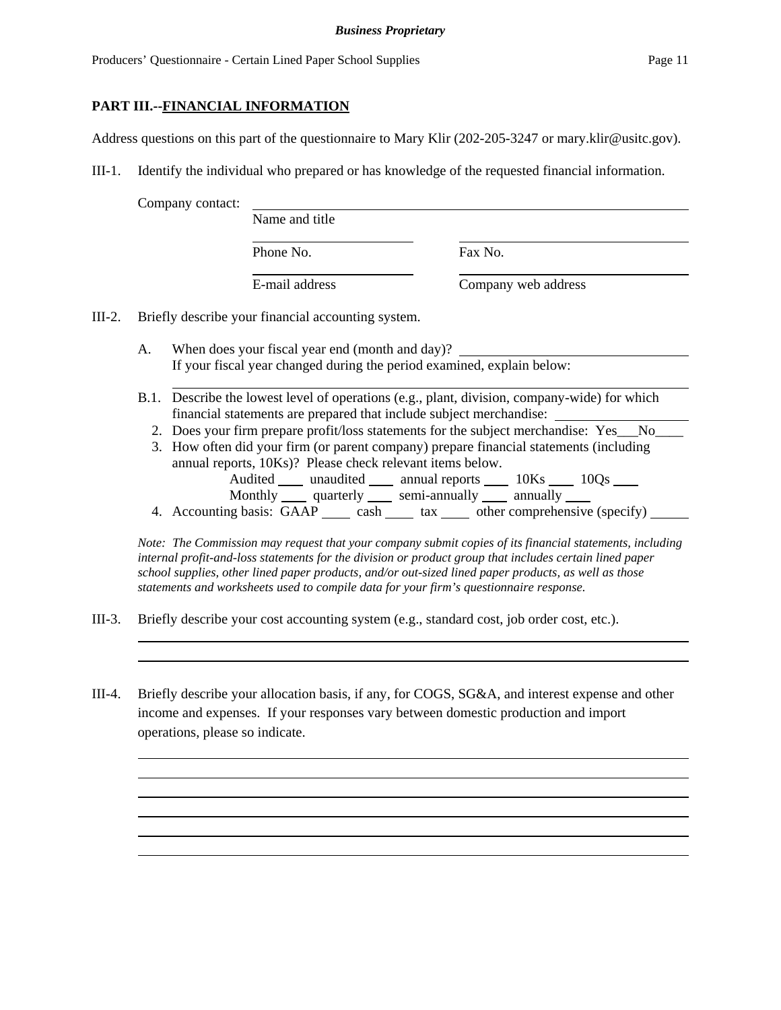#### **PART III.--FINANCIAL INFORMATION**

Address questions on this part of the questionnaire to Mary Klir (202-205-3247 or mary.klir@usitc.gov).

III-1. Identify the individual who prepared or has knowledge of the requested financial information.

Company contact:

| Name and title |                     |
|----------------|---------------------|
| Phone No.      | Fax No.             |
| E-mail address | Company web address |

III-2. Briefly describe your financial accounting system.

- A. When does your fiscal year end (month and day)? If your fiscal year changed during the period examined, explain below:
- B.1. Describe the lowest level of operations (e.g., plant, division, company-wide) for which financial statements are prepared that include subject merchandise:
	- 2. Does your firm prepare profit/loss statements for the subject merchandise: Yes No
	- 3. How often did your firm (or parent company) prepare financial statements (including annual reports, 10Ks)? Please check relevant items below. Audited \_\_\_\_\_ unaudited \_\_\_\_\_\_ annual reports \_\_\_\_\_\_ 10Ks \_\_\_\_\_ 10Qs \_\_\_\_\_ Monthly quarterly semi-annually annually
	- 4. Accounting basis:  $GAAP$  cash  $\_\_\_$  tax  $\_\_\_$  other comprehensive (specify)  $\_\_\_\_$

*Note: The Commission may request that your company submit copies of its financial statements, including internal profit-and-loss statements for the division or product group that includes certain lined paper school supplies, other lined paper products, and/or out-sized lined paper products, as well as those statements and worksheets used to compile data for your firm's questionnaire response.*

- III-3. Briefly describe your cost accounting system (e.g., standard cost, job order cost, etc.).
- III-4. Briefly describe your allocation basis, if any, for COGS, SG&A, and interest expense and other income and expenses. If your responses vary between domestic production and import operations, please so indicate.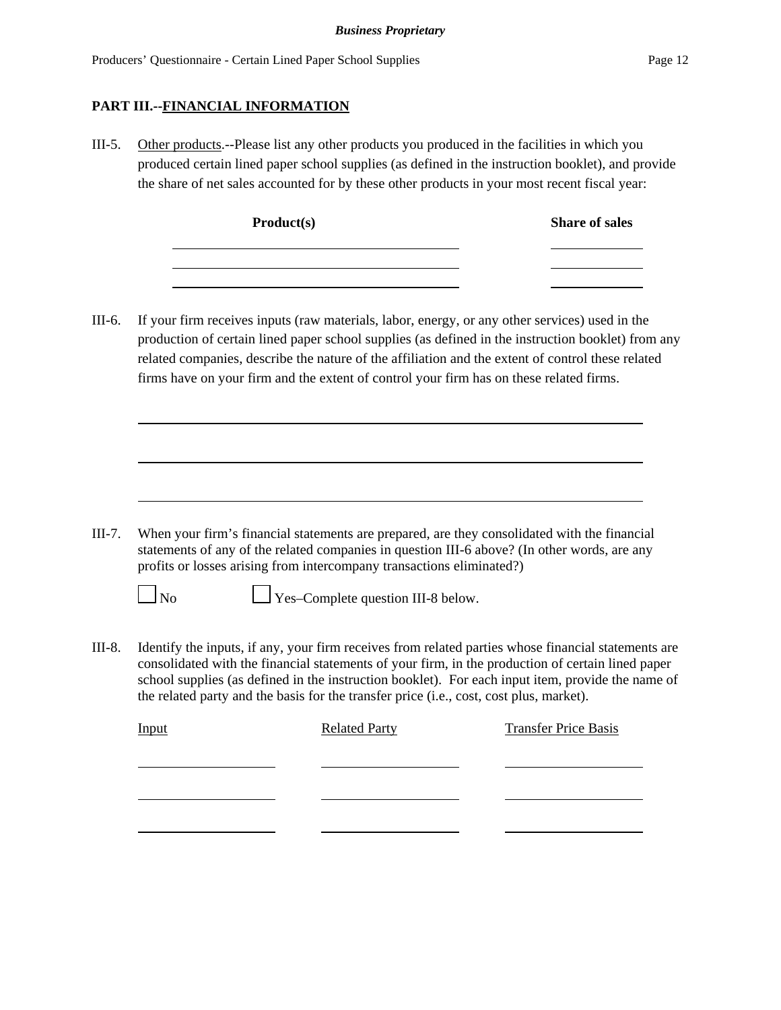#### **PART III.--FINANCIAL INFORMATION**

III-5. Other products.--Please list any other products you produced in the facilities in which you produced certain lined paper school supplies (as defined in the instruction booklet), and provide the share of net sales accounted for by these other products in your most recent fiscal year:

| Product(s) | <b>Share of sales</b> |
|------------|-----------------------|
|            |                       |
|            |                       |

III-6. If your firm receives inputs (raw materials, labor, energy, or any other services) used in the production of certain lined paper school supplies (as defined in the instruction booklet) from any related companies, describe the nature of the affiliation and the extent of control these related firms have on your firm and the extent of control your firm has on these related firms.

III-7. When your firm's financial statements are prepared, are they consolidated with the financial statements of any of the related companies in question III-6 above? (In other words, are any profits or losses arising from intercompany transactions eliminated?)



 $\Box$  No  $\Box$  Yes–Complete question III-8 below.

III-8. Identify the inputs, if any, your firm receives from related parties whose financial statements are consolidated with the financial statements of your firm, in the production of certain lined paper school supplies (as defined in the instruction booklet). For each input item, provide the name of the related party and the basis for the transfer price (i.e., cost, cost plus, market).

| <b>Input</b> | <b>Related Party</b> | <b>Transfer Price Basis</b> |
|--------------|----------------------|-----------------------------|
|              |                      |                             |
|              |                      |                             |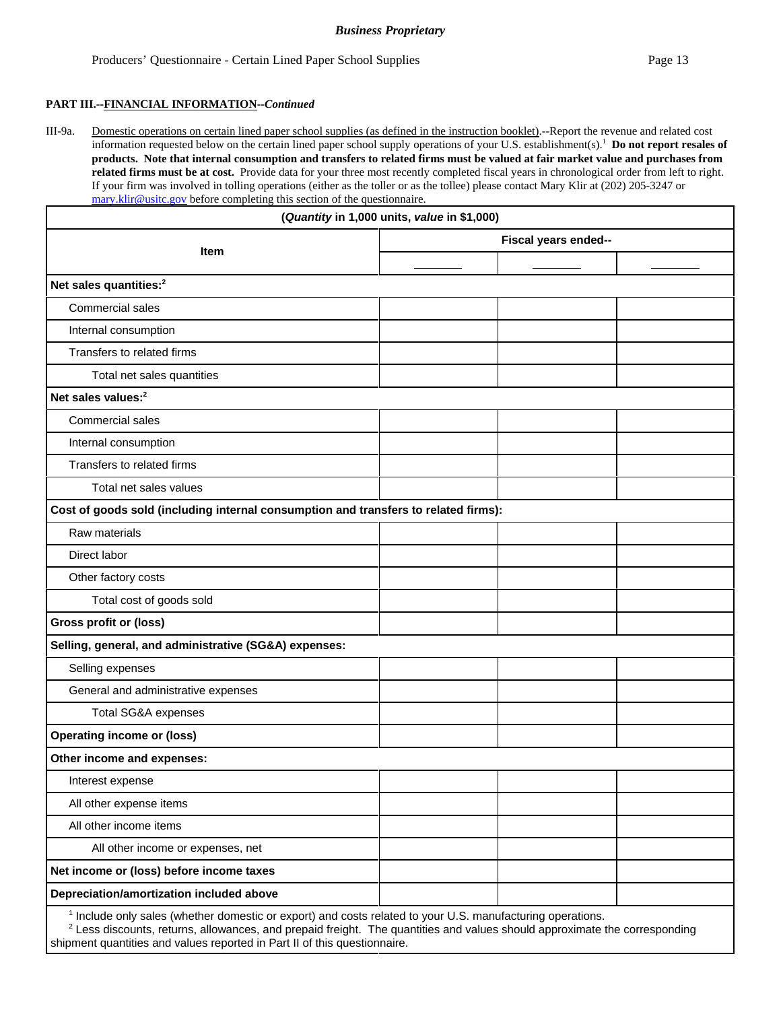shipment quantities and values reported in Part II of this questionnaire.

#### **PART III.--FINANCIAL INFORMATION--***Continued*

III-9a. Domestic operations on certain lined paper school supplies (as defined in the instruction booklet).--Report the revenue and related cost information requested below on the certain lined paper school supply operations of your U.S. establishment(s).1 **Do not report resales of products. Note that internal consumption and transfers to related firms must be valued at fair market value and purchases from related firms must be at cost.** Provide data for your three most recently completed fiscal years in chronological order from left to right. If your firm was involved in tolling operations (either as the toller or as the tollee) please contact Mary Klir at (202) 205-3247 or mary.klir@usitc.gov before completing this section of the questionnaire.

|                                                                                                                                                                                                                                                                | (Quantity in 1,000 units, value in \$1,000) |  |  |
|----------------------------------------------------------------------------------------------------------------------------------------------------------------------------------------------------------------------------------------------------------------|---------------------------------------------|--|--|
|                                                                                                                                                                                                                                                                | Fiscal years ended--<br>Item                |  |  |
|                                                                                                                                                                                                                                                                |                                             |  |  |
| Net sales quantities: <sup>2</sup>                                                                                                                                                                                                                             |                                             |  |  |
| <b>Commercial sales</b>                                                                                                                                                                                                                                        |                                             |  |  |
| Internal consumption                                                                                                                                                                                                                                           |                                             |  |  |
| Transfers to related firms                                                                                                                                                                                                                                     |                                             |  |  |
| Total net sales quantities                                                                                                                                                                                                                                     |                                             |  |  |
| Net sales values: <sup>2</sup>                                                                                                                                                                                                                                 |                                             |  |  |
| <b>Commercial sales</b>                                                                                                                                                                                                                                        |                                             |  |  |
| Internal consumption                                                                                                                                                                                                                                           |                                             |  |  |
| Transfers to related firms                                                                                                                                                                                                                                     |                                             |  |  |
| Total net sales values                                                                                                                                                                                                                                         |                                             |  |  |
| Cost of goods sold (including internal consumption and transfers to related firms):                                                                                                                                                                            |                                             |  |  |
| Raw materials                                                                                                                                                                                                                                                  |                                             |  |  |
| Direct labor                                                                                                                                                                                                                                                   |                                             |  |  |
| Other factory costs                                                                                                                                                                                                                                            |                                             |  |  |
| Total cost of goods sold                                                                                                                                                                                                                                       |                                             |  |  |
| Gross profit or (loss)                                                                                                                                                                                                                                         |                                             |  |  |
| Selling, general, and administrative (SG&A) expenses:                                                                                                                                                                                                          |                                             |  |  |
| Selling expenses                                                                                                                                                                                                                                               |                                             |  |  |
| General and administrative expenses                                                                                                                                                                                                                            |                                             |  |  |
| <b>Total SG&amp;A expenses</b>                                                                                                                                                                                                                                 |                                             |  |  |
| <b>Operating income or (loss)</b>                                                                                                                                                                                                                              |                                             |  |  |
| Other income and expenses:                                                                                                                                                                                                                                     |                                             |  |  |
| Interest expense                                                                                                                                                                                                                                               |                                             |  |  |
| All other expense items                                                                                                                                                                                                                                        |                                             |  |  |
| All other income items                                                                                                                                                                                                                                         |                                             |  |  |
| All other income or expenses, net                                                                                                                                                                                                                              |                                             |  |  |
| Net income or (loss) before income taxes                                                                                                                                                                                                                       |                                             |  |  |
| Depreciation/amortization included above                                                                                                                                                                                                                       |                                             |  |  |
| <sup>1</sup> Include only sales (whether domestic or export) and costs related to your U.S. manufacturing operations.<br><sup>2</sup> Less discounts, returns, allowances, and prepaid freight. The quantities and values should approximate the corresponding |                                             |  |  |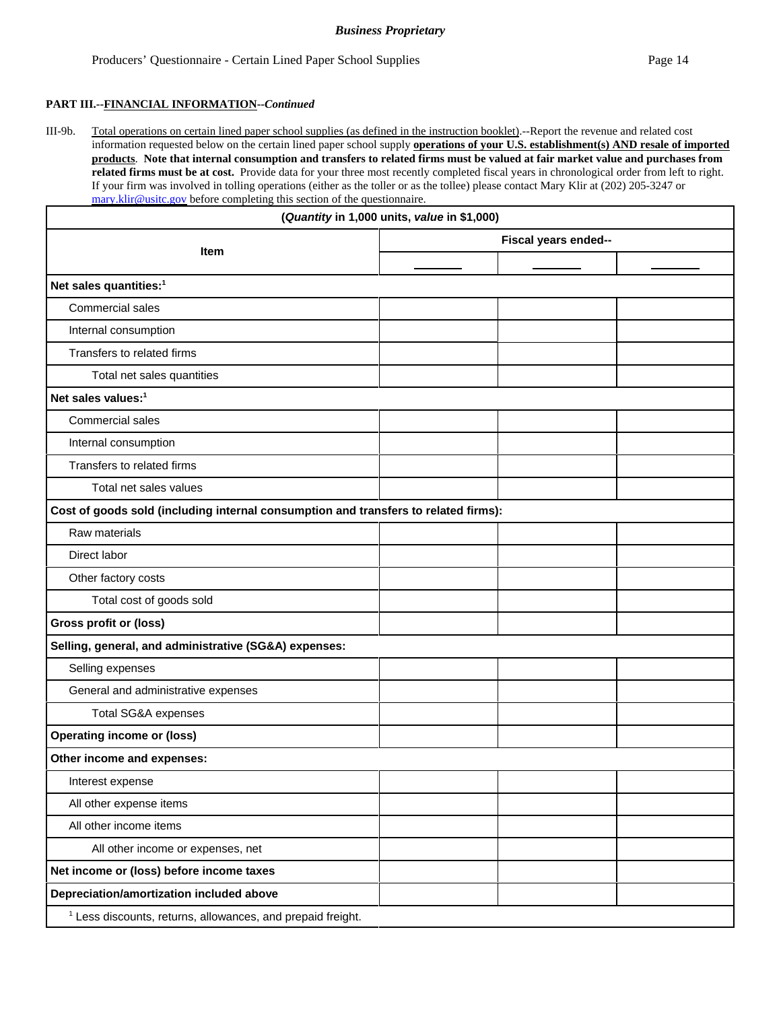#### **PART III.--FINANCIAL INFORMATION--***Continued*

III-9b. Total operations on certain lined paper school supplies (as defined in the instruction booklet).--Report the revenue and related cost information requested below on the certain lined paper school supply **operations of your U.S. establishment(s) AND resale of imported products**. **Note that internal consumption and transfers to related firms must be valued at fair market value and purchases from related firms must be at cost.** Provide data for your three most recently completed fiscal years in chronological order from left to right. If your firm was involved in tolling operations (either as the toller or as the tollee) please contact Mary Klir at (202) 205-3247 or mary.klir@usitc.gov before completing this section of the questionnaire.

| (Quantity in 1,000 units, value in \$1,000)                                         |                      |  |  |
|-------------------------------------------------------------------------------------|----------------------|--|--|
| Item                                                                                | Fiscal years ended-- |  |  |
|                                                                                     |                      |  |  |
| Net sales quantities: <sup>1</sup>                                                  |                      |  |  |
| Commercial sales                                                                    |                      |  |  |
| Internal consumption                                                                |                      |  |  |
| Transfers to related firms                                                          |                      |  |  |
| Total net sales quantities                                                          |                      |  |  |
| Net sales values: <sup>1</sup>                                                      |                      |  |  |
| Commercial sales                                                                    |                      |  |  |
| Internal consumption                                                                |                      |  |  |
| Transfers to related firms                                                          |                      |  |  |
| Total net sales values                                                              |                      |  |  |
| Cost of goods sold (including internal consumption and transfers to related firms): |                      |  |  |
| Raw materials                                                                       |                      |  |  |
| Direct labor                                                                        |                      |  |  |
| Other factory costs                                                                 |                      |  |  |
| Total cost of goods sold                                                            |                      |  |  |
| Gross profit or (loss)                                                              |                      |  |  |
| Selling, general, and administrative (SG&A) expenses:                               |                      |  |  |
| Selling expenses                                                                    |                      |  |  |
| General and administrative expenses                                                 |                      |  |  |
| Total SG&A expenses                                                                 |                      |  |  |
| <b>Operating income or (loss)</b>                                                   |                      |  |  |
| Other income and expenses:                                                          |                      |  |  |
| Interest expense                                                                    |                      |  |  |
| All other expense items                                                             |                      |  |  |
| All other income items                                                              |                      |  |  |
| All other income or expenses, net                                                   |                      |  |  |
| Net income or (loss) before income taxes                                            |                      |  |  |
| Depreciation/amortization included above                                            |                      |  |  |
| <sup>1</sup> Less discounts, returns, allowances, and prepaid freight.              |                      |  |  |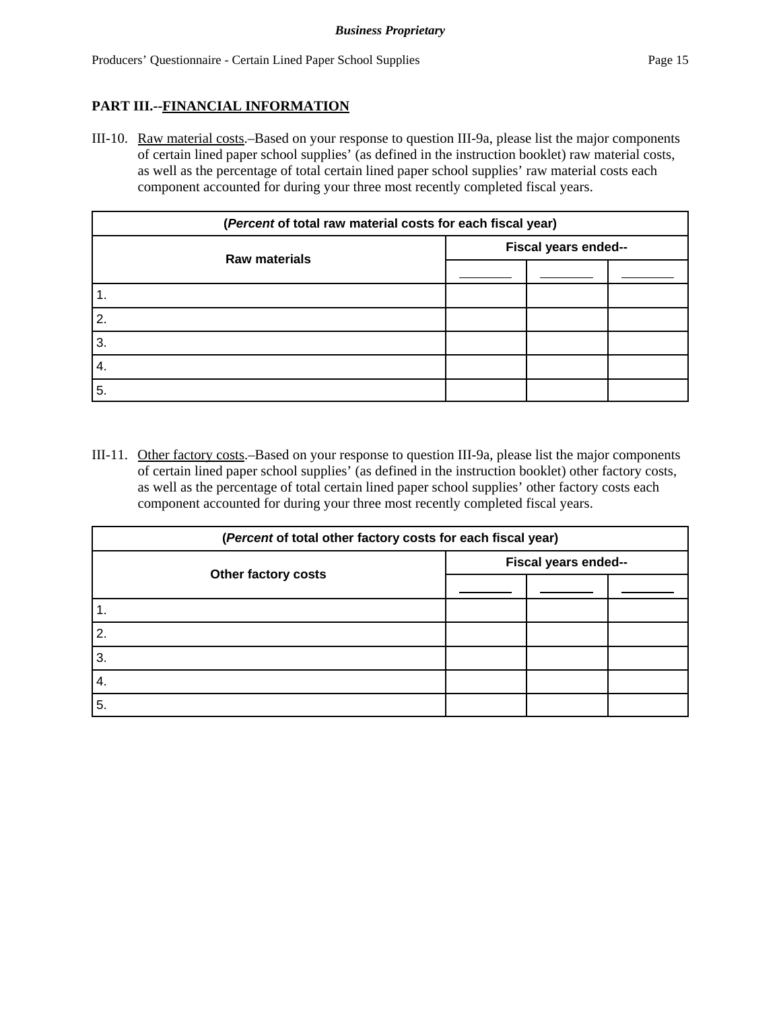## **PART III.--FINANCIAL INFORMATION**

III-10. Raw material costs.–Based on your response to question III-9a, please list the major components of certain lined paper school supplies' (as defined in the instruction booklet) raw material costs, as well as the percentage of total certain lined paper school supplies' raw material costs each component accounted for during your three most recently completed fiscal years.

| (Percent of total raw material costs for each fiscal year) |                      |  |  |
|------------------------------------------------------------|----------------------|--|--|
|                                                            | Fiscal years ended-- |  |  |
| <b>Raw materials</b>                                       |                      |  |  |
| 1.                                                         |                      |  |  |
| 2.                                                         |                      |  |  |
| 3.                                                         |                      |  |  |
| 4.                                                         |                      |  |  |
| 5.                                                         |                      |  |  |

III-11. Other factory costs.–Based on your response to question III-9a, please list the major components of certain lined paper school supplies' (as defined in the instruction booklet) other factory costs, as well as the percentage of total certain lined paper school supplies' other factory costs each component accounted for during your three most recently completed fiscal years.

| (Percent of total other factory costs for each fiscal year) |                      |  |  |
|-------------------------------------------------------------|----------------------|--|--|
| Other factory costs                                         | Fiscal years ended-- |  |  |
|                                                             |                      |  |  |
| 1.                                                          |                      |  |  |
| 2.                                                          |                      |  |  |
| 3.                                                          |                      |  |  |
| 4.                                                          |                      |  |  |
| 5.                                                          |                      |  |  |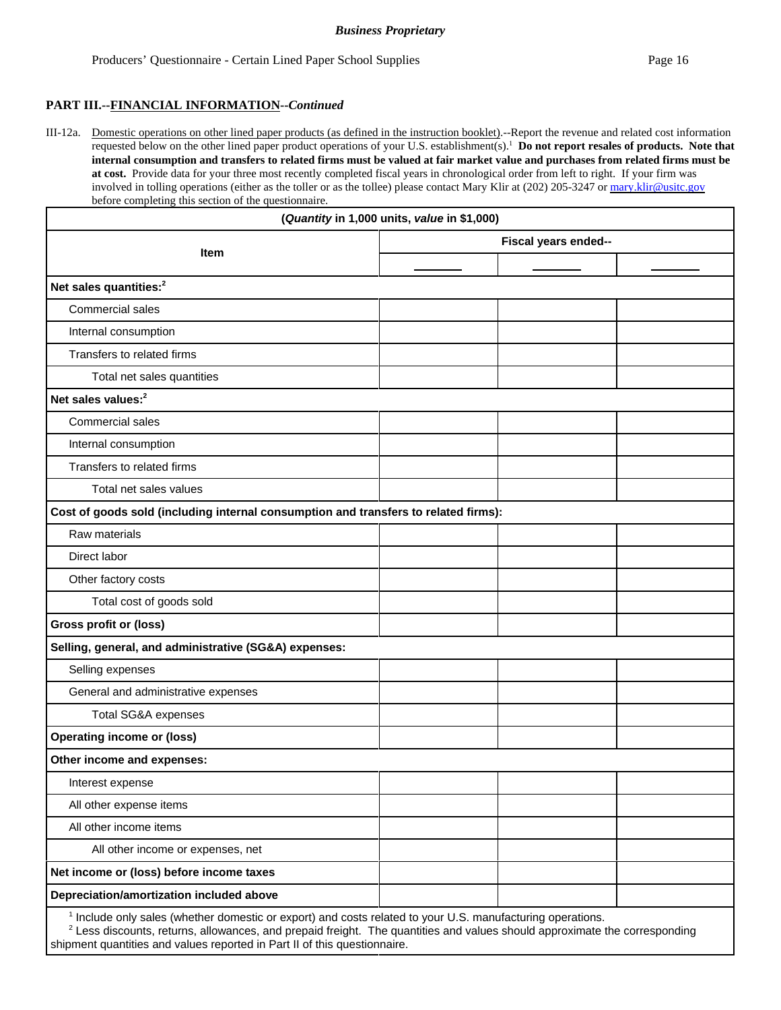#### **PART III.--FINANCIAL INFORMATION--***Continued*

III-12a. Domestic operations on other lined paper products (as defined in the instruction booklet).--Report the revenue and related cost information requested below on the other lined paper product operations of your U.S. establishment(s).1 **Do not report resales of products. Note that internal consumption and transfers to related firms must be valued at fair market value and purchases from related firms must be at cost.** Provide data for your three most recently completed fiscal years in chronological order from left to right. If your firm was involved in tolling operations (either as the toller or as the tollee) please contact Mary Klir at (202) 205-3247 or mary.klir@usitc.gov before completing this section of the questionnaire.

|                                                                                                                       | (Quantity in 1,000 units, value in \$1,000) |                      |  |
|-----------------------------------------------------------------------------------------------------------------------|---------------------------------------------|----------------------|--|
|                                                                                                                       |                                             | Fiscal years ended-- |  |
| Item                                                                                                                  |                                             |                      |  |
| Net sales quantities: <sup>2</sup>                                                                                    |                                             |                      |  |
| Commercial sales                                                                                                      |                                             |                      |  |
| Internal consumption                                                                                                  |                                             |                      |  |
| Transfers to related firms                                                                                            |                                             |                      |  |
| Total net sales quantities                                                                                            |                                             |                      |  |
| Net sales values: <sup>2</sup>                                                                                        |                                             |                      |  |
| Commercial sales                                                                                                      |                                             |                      |  |
| Internal consumption                                                                                                  |                                             |                      |  |
| Transfers to related firms                                                                                            |                                             |                      |  |
| Total net sales values                                                                                                |                                             |                      |  |
| Cost of goods sold (including internal consumption and transfers to related firms):                                   |                                             |                      |  |
| Raw materials                                                                                                         |                                             |                      |  |
| Direct labor                                                                                                          |                                             |                      |  |
| Other factory costs                                                                                                   |                                             |                      |  |
| Total cost of goods sold                                                                                              |                                             |                      |  |
| <b>Gross profit or (loss)</b>                                                                                         |                                             |                      |  |
| Selling, general, and administrative (SG&A) expenses:                                                                 |                                             |                      |  |
| Selling expenses                                                                                                      |                                             |                      |  |
| General and administrative expenses                                                                                   |                                             |                      |  |
| Total SG&A expenses                                                                                                   |                                             |                      |  |
| <b>Operating income or (loss)</b>                                                                                     |                                             |                      |  |
| Other income and expenses:                                                                                            |                                             |                      |  |
| Interest expense                                                                                                      |                                             |                      |  |
| All other expense items                                                                                               |                                             |                      |  |
| All other income items                                                                                                |                                             |                      |  |
| All other income or expenses, net                                                                                     |                                             |                      |  |
| Net income or (loss) before income taxes                                                                              |                                             |                      |  |
| Depreciation/amortization included above                                                                              |                                             |                      |  |
| <sup>1</sup> Include only sales (whether domestic or export) and costs related to your U.S. manufacturing operations. |                                             |                      |  |

 $2$  Less discounts, returns, allowances, and prepaid freight. The quantities and values should approximate the corresponding shipment quantities and values reported in Part II of this questionnaire.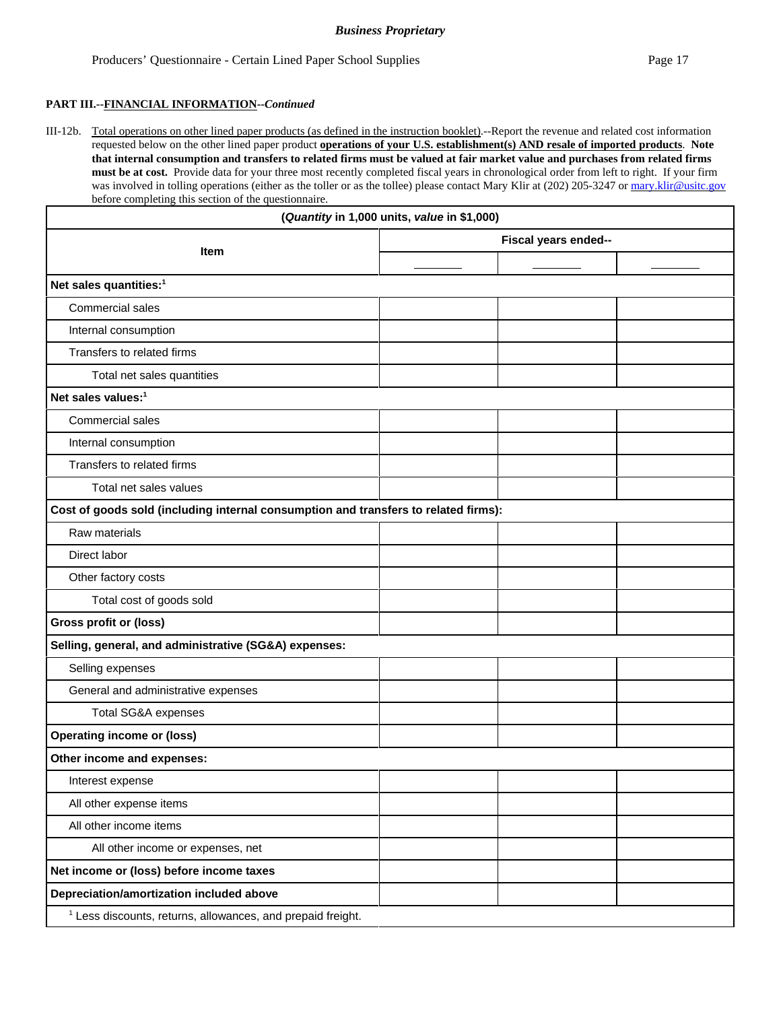#### **PART III.--FINANCIAL INFORMATION--***Continued*

III-12b. Total operations on other lined paper products (as defined in the instruction booklet).--Report the revenue and related cost information requested below on the other lined paper product **operations of your U.S. establishment(s) AND resale of imported products**. **Note that internal consumption and transfers to related firms must be valued at fair market value and purchases from related firms must be at cost.** Provide data for your three most recently completed fiscal years in chronological order from left to right. If your firm was involved in tolling operations (either as the toller or as the tollee) please contact Mary Klir at (202) 205-3247 or mary.klir@usitc.gov before completing this section of the questionnaire.

|                                                                                     | (Quantity in 1,000 units, value in \$1,000) |                      |  |
|-------------------------------------------------------------------------------------|---------------------------------------------|----------------------|--|
| Item                                                                                |                                             | Fiscal years ended-- |  |
|                                                                                     |                                             |                      |  |
| Net sales quantities: <sup>1</sup>                                                  |                                             |                      |  |
| Commercial sales                                                                    |                                             |                      |  |
| Internal consumption                                                                |                                             |                      |  |
| Transfers to related firms                                                          |                                             |                      |  |
| Total net sales quantities                                                          |                                             |                      |  |
| Net sales values: <sup>1</sup>                                                      |                                             |                      |  |
| Commercial sales                                                                    |                                             |                      |  |
| Internal consumption                                                                |                                             |                      |  |
| Transfers to related firms                                                          |                                             |                      |  |
| Total net sales values                                                              |                                             |                      |  |
| Cost of goods sold (including internal consumption and transfers to related firms): |                                             |                      |  |
| Raw materials                                                                       |                                             |                      |  |
| Direct labor                                                                        |                                             |                      |  |
| Other factory costs                                                                 |                                             |                      |  |
| Total cost of goods sold                                                            |                                             |                      |  |
| Gross profit or (loss)                                                              |                                             |                      |  |
| Selling, general, and administrative (SG&A) expenses:                               |                                             |                      |  |
| Selling expenses                                                                    |                                             |                      |  |
| General and administrative expenses                                                 |                                             |                      |  |
| Total SG&A expenses                                                                 |                                             |                      |  |
| <b>Operating income or (loss)</b>                                                   |                                             |                      |  |
| Other income and expenses:                                                          |                                             |                      |  |
| Interest expense                                                                    |                                             |                      |  |
| All other expense items                                                             |                                             |                      |  |
| All other income items                                                              |                                             |                      |  |
| All other income or expenses, net                                                   |                                             |                      |  |
| Net income or (loss) before income taxes                                            |                                             |                      |  |
| Depreciation/amortization included above                                            |                                             |                      |  |
| <sup>1</sup> Less discounts, returns, allowances, and prepaid freight.              |                                             |                      |  |
|                                                                                     |                                             |                      |  |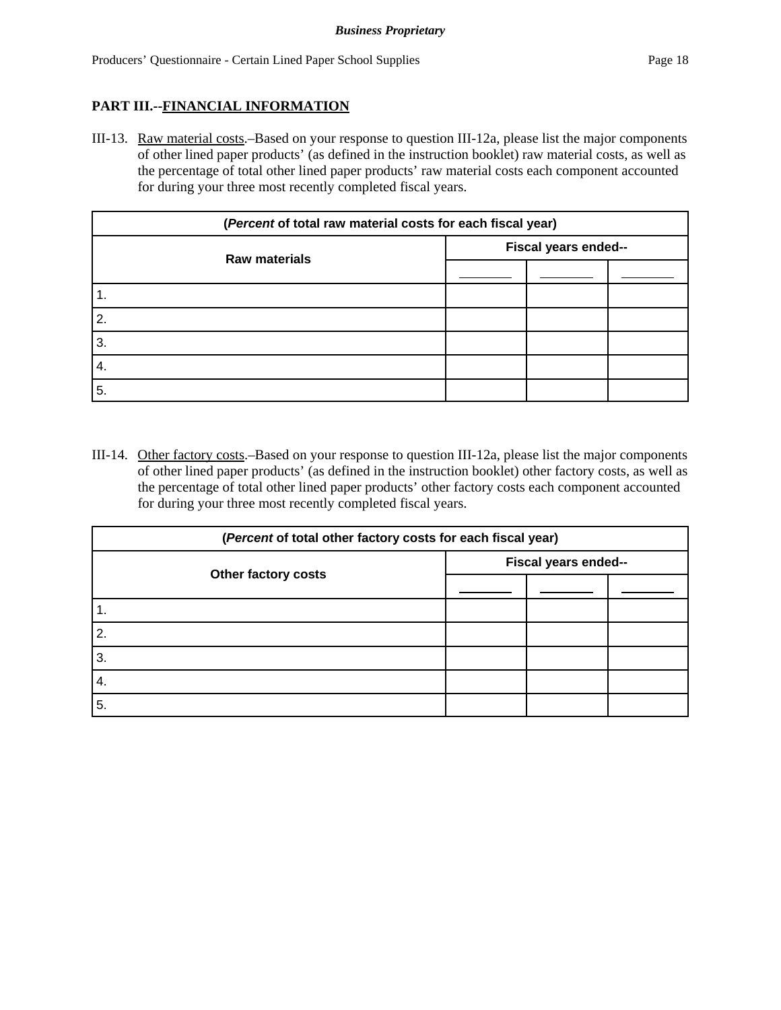## **PART III.--FINANCIAL INFORMATION**

III-13. Raw material costs.–Based on your response to question III-12a, please list the major components of other lined paper products' (as defined in the instruction booklet) raw material costs, as well as the percentage of total other lined paper products' raw material costs each component accounted for during your three most recently completed fiscal years.

| (Percent of total raw material costs for each fiscal year) |                      |  |  |
|------------------------------------------------------------|----------------------|--|--|
|                                                            | Fiscal years ended-- |  |  |
| <b>Raw materials</b>                                       |                      |  |  |
| $\cdot$ 1.                                                 |                      |  |  |
| $\overline{2}$ .                                           |                      |  |  |
| 3.                                                         |                      |  |  |
| 4.                                                         |                      |  |  |
| 5.                                                         |                      |  |  |

III-14. Other factory costs.–Based on your response to question III-12a, please list the major components of other lined paper products' (as defined in the instruction booklet) other factory costs, as well as the percentage of total other lined paper products' other factory costs each component accounted for during your three most recently completed fiscal years.

| (Percent of total other factory costs for each fiscal year) |                      |  |  |
|-------------------------------------------------------------|----------------------|--|--|
| Other factory costs                                         | Fiscal years ended-- |  |  |
|                                                             |                      |  |  |
| 1.                                                          |                      |  |  |
| 2.                                                          |                      |  |  |
| 3.                                                          |                      |  |  |
| 4.                                                          |                      |  |  |
| 5.                                                          |                      |  |  |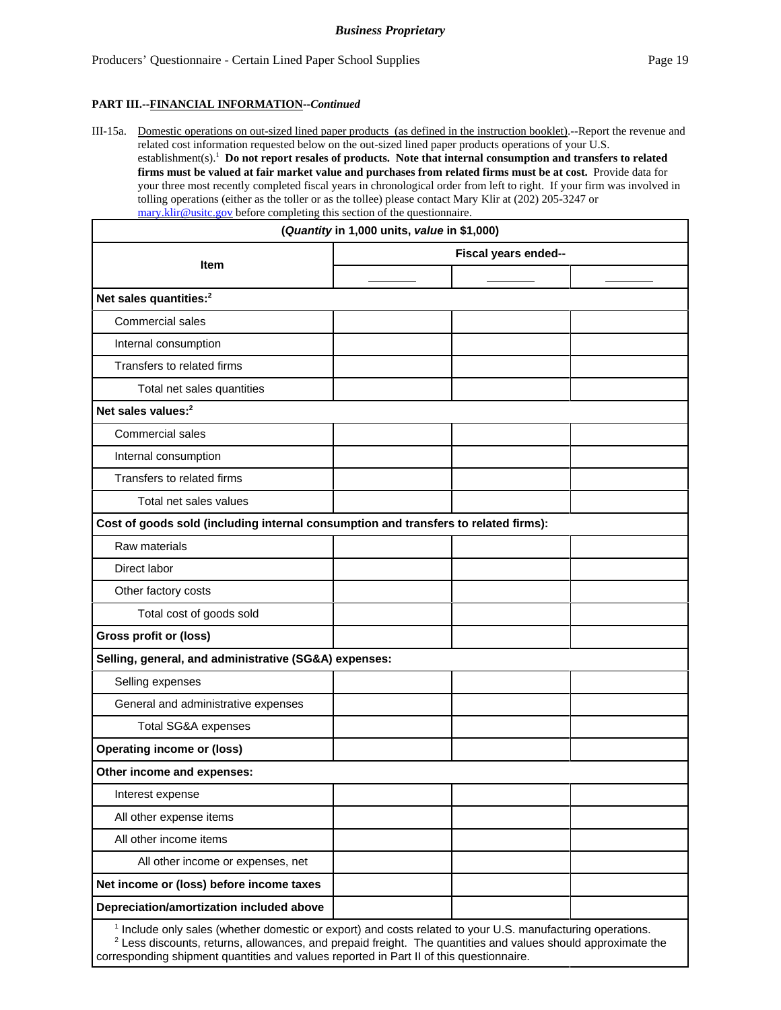#### **PART III.--FINANCIAL INFORMATION--***Continued*

III-15a. Domestic operations on out-sized lined paper products (as defined in the instruction booklet).--Report the revenue and related cost information requested below on the out-sized lined paper products operations of your U.S. establishment(s).1 **Do not report resales of products. Note that internal consumption and transfers to related firms must be valued at fair market value and purchases from related firms must be at cost.** Provide data for your three most recently completed fiscal years in chronological order from left to right. If your firm was involved in tolling operations (either as the toller or as the tollee) please contact Mary Klir at (202) 205-3247 or mary.klir@usitc.gov before completing this section of the questionnaire.

| mary.klir@usitc.gov before completing this section of the questionnaire.<br>(Quantity in 1,000 units, value in \$1,000)                                                                                                                                                                                                            |                      |  |  |
|------------------------------------------------------------------------------------------------------------------------------------------------------------------------------------------------------------------------------------------------------------------------------------------------------------------------------------|----------------------|--|--|
|                                                                                                                                                                                                                                                                                                                                    | Fiscal years ended-- |  |  |
| Item                                                                                                                                                                                                                                                                                                                               |                      |  |  |
| Net sales quantities: <sup>2</sup>                                                                                                                                                                                                                                                                                                 |                      |  |  |
| Commercial sales                                                                                                                                                                                                                                                                                                                   |                      |  |  |
| Internal consumption                                                                                                                                                                                                                                                                                                               |                      |  |  |
| Transfers to related firms                                                                                                                                                                                                                                                                                                         |                      |  |  |
| Total net sales quantities                                                                                                                                                                                                                                                                                                         |                      |  |  |
| Net sales values: <sup>2</sup>                                                                                                                                                                                                                                                                                                     |                      |  |  |
| <b>Commercial sales</b>                                                                                                                                                                                                                                                                                                            |                      |  |  |
| Internal consumption                                                                                                                                                                                                                                                                                                               |                      |  |  |
| Transfers to related firms                                                                                                                                                                                                                                                                                                         |                      |  |  |
| Total net sales values                                                                                                                                                                                                                                                                                                             |                      |  |  |
| Cost of goods sold (including internal consumption and transfers to related firms):                                                                                                                                                                                                                                                |                      |  |  |
| Raw materials                                                                                                                                                                                                                                                                                                                      |                      |  |  |
| Direct labor                                                                                                                                                                                                                                                                                                                       |                      |  |  |
| Other factory costs                                                                                                                                                                                                                                                                                                                |                      |  |  |
| Total cost of goods sold                                                                                                                                                                                                                                                                                                           |                      |  |  |
| <b>Gross profit or (loss)</b>                                                                                                                                                                                                                                                                                                      |                      |  |  |
| Selling, general, and administrative (SG&A) expenses:                                                                                                                                                                                                                                                                              |                      |  |  |
| Selling expenses                                                                                                                                                                                                                                                                                                                   |                      |  |  |
| General and administrative expenses                                                                                                                                                                                                                                                                                                |                      |  |  |
| Total SG&A expenses                                                                                                                                                                                                                                                                                                                |                      |  |  |
| <b>Operating income or (loss)</b>                                                                                                                                                                                                                                                                                                  |                      |  |  |
| Other income and expenses:                                                                                                                                                                                                                                                                                                         |                      |  |  |
| Interest expense                                                                                                                                                                                                                                                                                                                   |                      |  |  |
| All other expense items                                                                                                                                                                                                                                                                                                            |                      |  |  |
| All other income items                                                                                                                                                                                                                                                                                                             |                      |  |  |
| All other income or expenses, net                                                                                                                                                                                                                                                                                                  |                      |  |  |
| Net income or (loss) before income taxes                                                                                                                                                                                                                                                                                           |                      |  |  |
| Depreciation/amortization included above                                                                                                                                                                                                                                                                                           |                      |  |  |
| <sup>1</sup> Include only sales (whether domestic or export) and costs related to your U.S. manufacturing operations.<br>$2$ Less discounts, returns, allowances, and prepaid freight. The quantities and values should approximate the<br>corresponding shipment quantities and values reported in Part II of this questionnaire. |                      |  |  |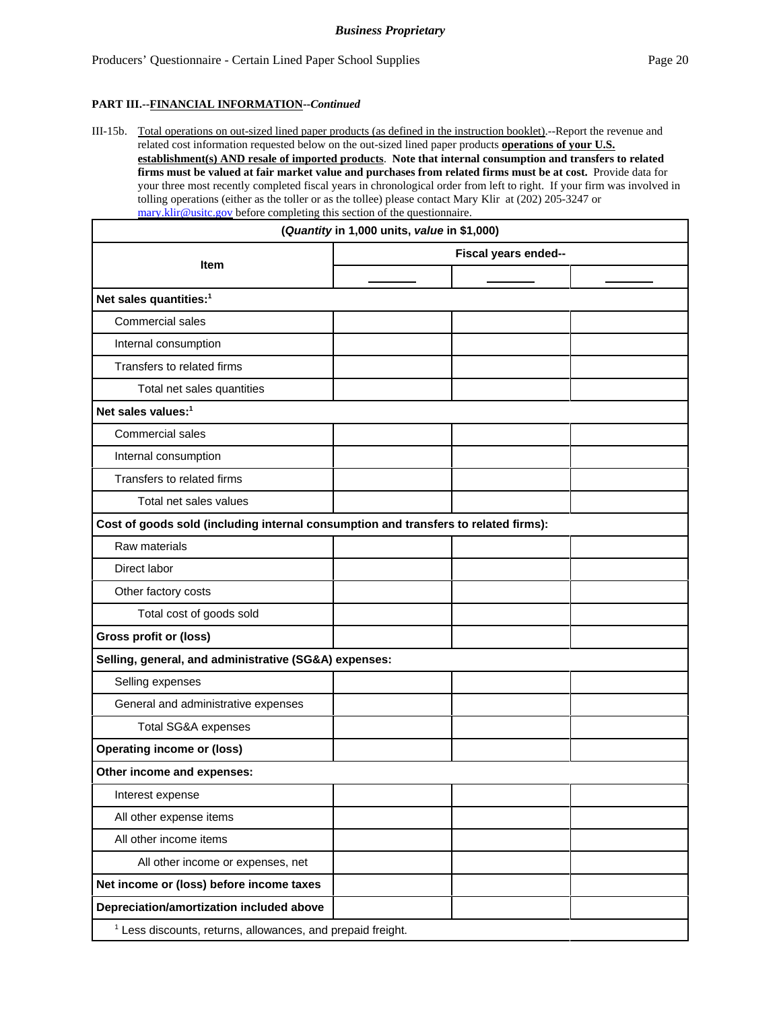#### **PART III.--FINANCIAL INFORMATION--***Continued*

III-15b. Total operations on out-sized lined paper products (as defined in the instruction booklet).--Report the revenue and related cost information requested below on the out-sized lined paper products **operations of your U.S. establishment(s) AND resale of imported products**. **Note that internal consumption and transfers to related firms must be valued at fair market value and purchases from related firms must be at cost.** Provide data for your three most recently completed fiscal years in chronological order from left to right. If your firm was involved in tolling operations (either as the toller or as the tollee) please contact Mary Klir at (202) 205-3247 or mary.klir@usitc.gov before completing this section of the questionnaire.

| $\frac{\ln a}{\ln a}$ with washelgov before completing this section of the questionnale.<br>(Quantity in 1,000 units, value in \$1,000) |  |  |  |
|-----------------------------------------------------------------------------------------------------------------------------------------|--|--|--|
| Fiscal years ended--                                                                                                                    |  |  |  |
| <b>Item</b>                                                                                                                             |  |  |  |
| Net sales quantities: <sup>1</sup>                                                                                                      |  |  |  |
| <b>Commercial sales</b>                                                                                                                 |  |  |  |
| Internal consumption                                                                                                                    |  |  |  |
| Transfers to related firms                                                                                                              |  |  |  |
| Total net sales quantities                                                                                                              |  |  |  |
| Net sales values: <sup>1</sup>                                                                                                          |  |  |  |
| Commercial sales                                                                                                                        |  |  |  |
| Internal consumption                                                                                                                    |  |  |  |
| Transfers to related firms                                                                                                              |  |  |  |
| Total net sales values                                                                                                                  |  |  |  |
| Cost of goods sold (including internal consumption and transfers to related firms):                                                     |  |  |  |
| Raw materials                                                                                                                           |  |  |  |
| Direct labor                                                                                                                            |  |  |  |
| Other factory costs                                                                                                                     |  |  |  |
| Total cost of goods sold                                                                                                                |  |  |  |
| Gross profit or (loss)                                                                                                                  |  |  |  |
| Selling, general, and administrative (SG&A) expenses:                                                                                   |  |  |  |
| Selling expenses                                                                                                                        |  |  |  |
| General and administrative expenses                                                                                                     |  |  |  |
| Total SG&A expenses                                                                                                                     |  |  |  |
| <b>Operating income or (loss)</b>                                                                                                       |  |  |  |
| Other income and expenses:                                                                                                              |  |  |  |
| Interest expense                                                                                                                        |  |  |  |
| All other expense items                                                                                                                 |  |  |  |
| All other income items                                                                                                                  |  |  |  |
| All other income or expenses, net                                                                                                       |  |  |  |
| Net income or (loss) before income taxes                                                                                                |  |  |  |
| Depreciation/amortization included above                                                                                                |  |  |  |
| <sup>1</sup> Less discounts, returns, allowances, and prepaid freight.                                                                  |  |  |  |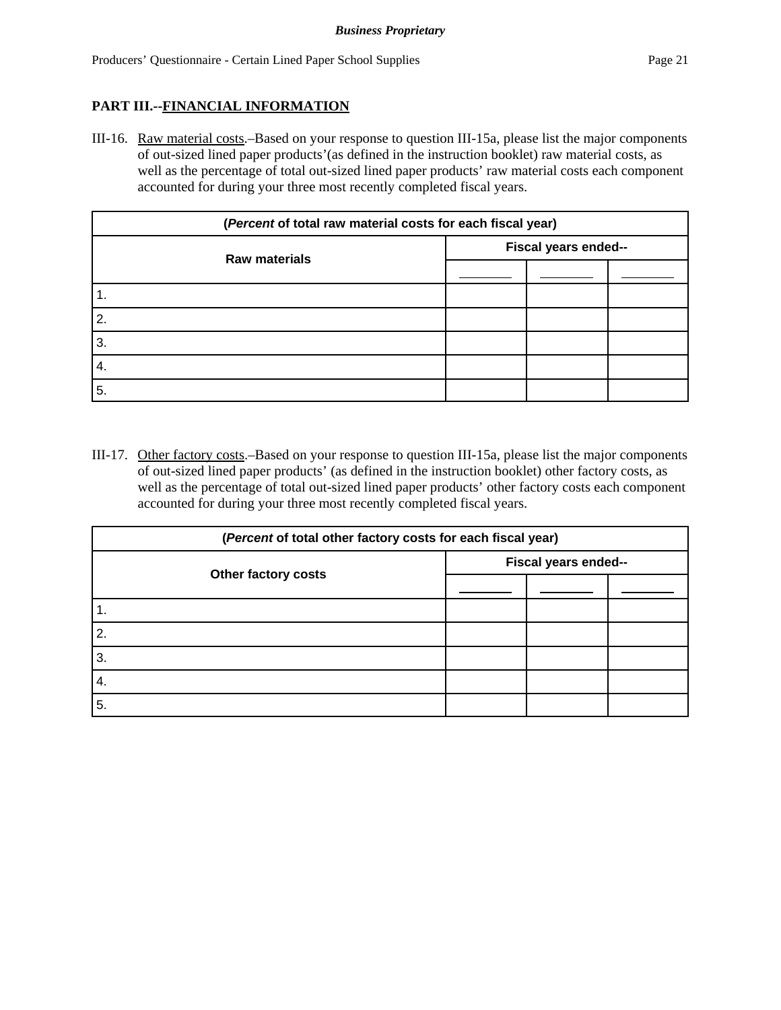## **PART III.--FINANCIAL INFORMATION**

III-16. Raw material costs.–Based on your response to question III-15a, please list the major components of out-sized lined paper products'(as defined in the instruction booklet) raw material costs, as well as the percentage of total out-sized lined paper products' raw material costs each component accounted for during your three most recently completed fiscal years.

| (Percent of total raw material costs for each fiscal year) |                      |  |  |
|------------------------------------------------------------|----------------------|--|--|
| <b>Raw materials</b>                                       | Fiscal years ended-- |  |  |
|                                                            |                      |  |  |
| 1.                                                         |                      |  |  |
| 2.                                                         |                      |  |  |
| 3.                                                         |                      |  |  |
| 4.                                                         |                      |  |  |
| 5.                                                         |                      |  |  |

III-17. Other factory costs.–Based on your response to question III-15a, please list the major components of out-sized lined paper products' (as defined in the instruction booklet) other factory costs, as well as the percentage of total out-sized lined paper products' other factory costs each component accounted for during your three most recently completed fiscal years.

| (Percent of total other factory costs for each fiscal year) |                      |  |  |
|-------------------------------------------------------------|----------------------|--|--|
|                                                             | Fiscal years ended-- |  |  |
| Other factory costs                                         |                      |  |  |
|                                                             |                      |  |  |
| 2.                                                          |                      |  |  |
| 3.                                                          |                      |  |  |
| 4.                                                          |                      |  |  |
| 5.                                                          |                      |  |  |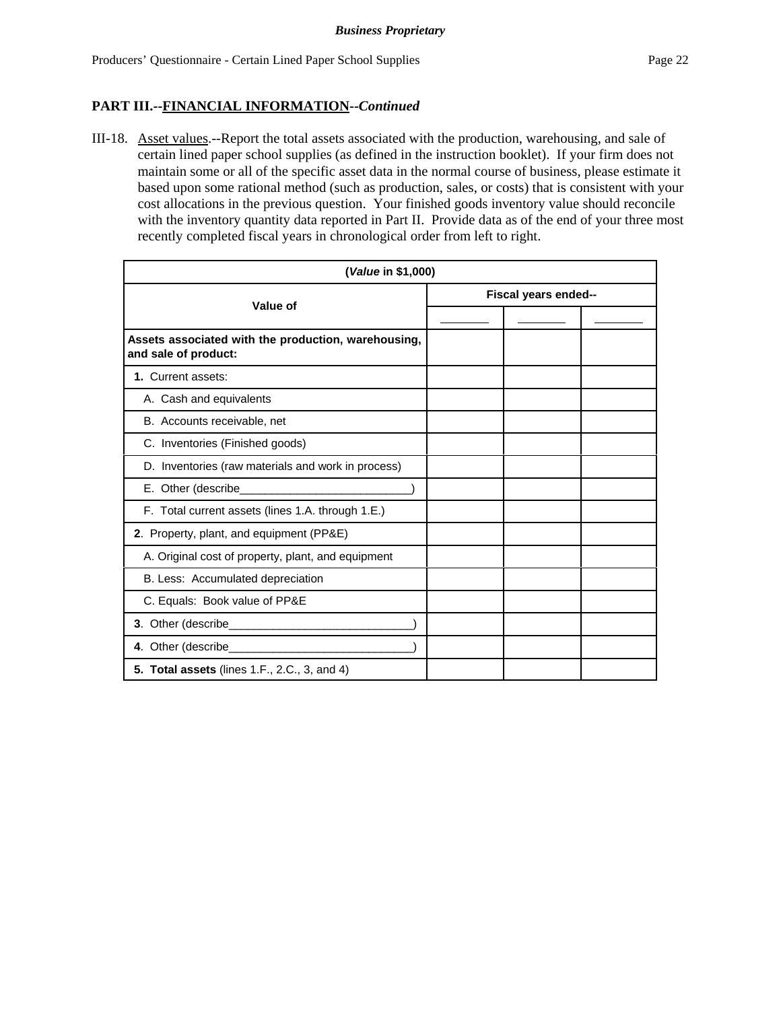## **PART III.--FINANCIAL INFORMATION--***Continued*

III-18. Asset values.--Report the total assets associated with the production, warehousing, and sale of certain lined paper school supplies (as defined in the instruction booklet).If your firm does not maintain some or all of the specific asset data in the normal course of business, please estimate it based upon some rational method (such as production, sales, or costs) that is consistent with your cost allocations in the previous question. Your finished goods inventory value should reconcile with the inventory quantity data reported in Part II. Provide data as of the end of your three most recently completed fiscal years in chronological order from left to right.

| (Value in \$1,000)                                                          |                      |  |
|-----------------------------------------------------------------------------|----------------------|--|
| Value of                                                                    | Fiscal years ended-- |  |
|                                                                             |                      |  |
| Assets associated with the production, warehousing,<br>and sale of product: |                      |  |
| 1. Current assets:                                                          |                      |  |
| A. Cash and equivalents                                                     |                      |  |
| B. Accounts receivable, net                                                 |                      |  |
| C. Inventories (Finished goods)                                             |                      |  |
| D. Inventories (raw materials and work in process)                          |                      |  |
|                                                                             |                      |  |
| F. Total current assets (lines 1.A. through 1.E.)                           |                      |  |
| 2. Property, plant, and equipment (PP&E)                                    |                      |  |
| A. Original cost of property, plant, and equipment                          |                      |  |
| B. Less: Accumulated depreciation                                           |                      |  |
| C. Equals: Book value of PP&E                                               |                      |  |
|                                                                             |                      |  |
|                                                                             |                      |  |
| 5. Total assets (lines 1.F., 2.C., 3, and 4)                                |                      |  |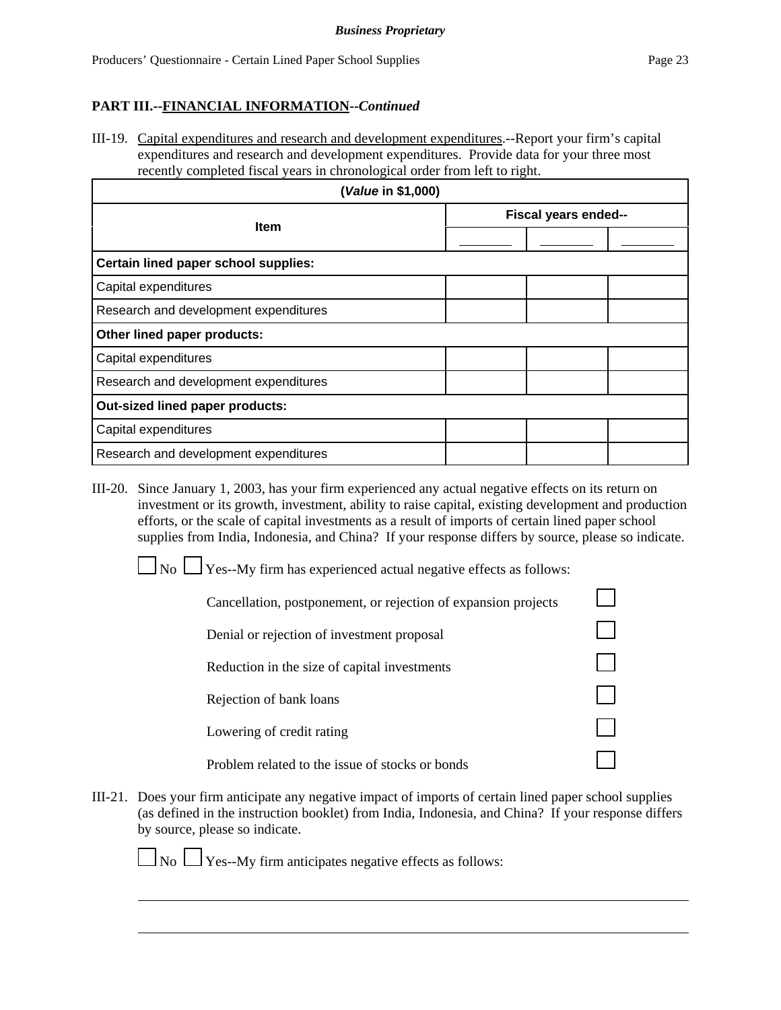# **PART III.--FINANCIAL INFORMATION--***Continued*

III-19. Capital expenditures and research and development expenditures.--Report your firm's capital expenditures and research and development expenditures. Provide data for your three most recently completed fiscal years in chronological order from left to right.

| (Value in \$1,000)                    |                      |  |  |
|---------------------------------------|----------------------|--|--|
| <b>Item</b>                           | Fiscal years ended-- |  |  |
|                                       |                      |  |  |
| Certain lined paper school supplies:  |                      |  |  |
| Capital expenditures                  |                      |  |  |
| Research and development expenditures |                      |  |  |
| Other lined paper products:           |                      |  |  |
| Capital expenditures                  |                      |  |  |
| Research and development expenditures |                      |  |  |
| Out-sized lined paper products:       |                      |  |  |
| Capital expenditures                  |                      |  |  |
| Research and development expenditures |                      |  |  |

III-20. Since January 1, 2003, has your firm experienced any actual negative effects on its return on investment or its growth, investment, ability to raise capital, existing development and production efforts, or the scale of capital investments as a result of imports of certain lined paper school supplies from India, Indonesia, and China? If your response differs by source, please so indicate.

 $\Box$  No  $\Box$  Yes--My firm has experienced actual negative effects as follows:

| Cancellation, postponement, or rejection of expansion projects |  |
|----------------------------------------------------------------|--|
| Denial or rejection of investment proposal                     |  |
| Reduction in the size of capital investments                   |  |
| Rejection of bank loans                                        |  |
| Lowering of credit rating                                      |  |
| Problem related to the issue of stocks or bonds                |  |

III-21. Does your firm anticipate any negative impact of imports of certain lined paper school supplies (as defined in the instruction booklet) from India, Indonesia, and China? If your response differs by source, please so indicate.

 $\Box$  No  $\Box$  Yes--My firm anticipates negative effects as follows: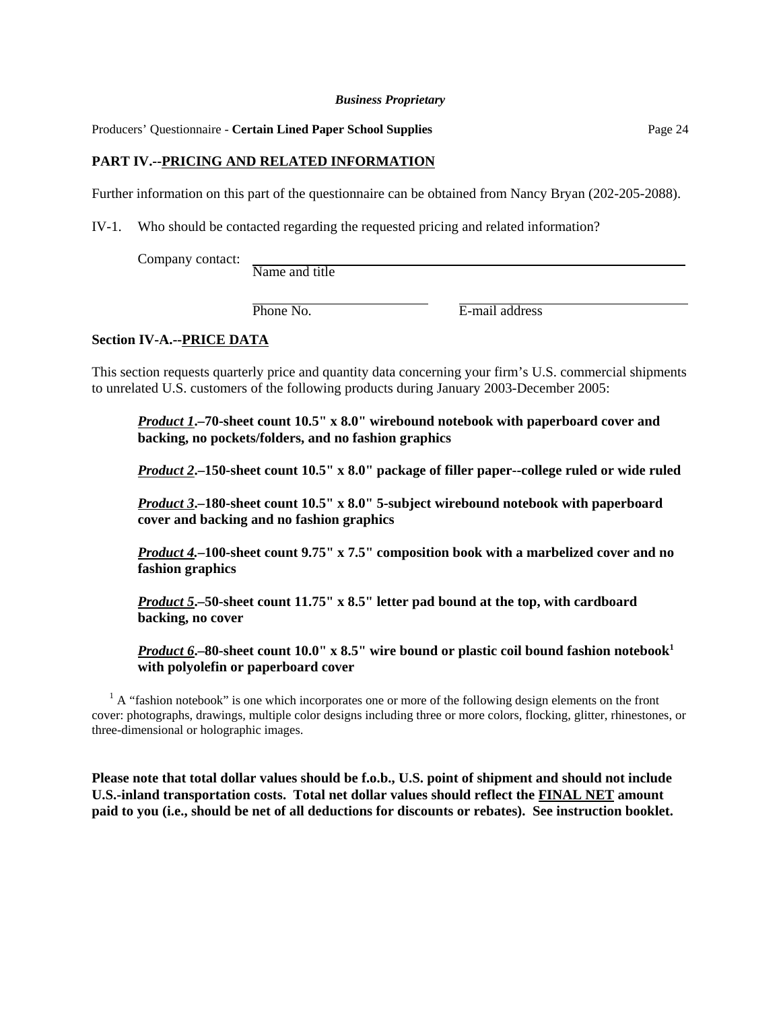Producers' Questionnaire - **Certain Lined Paper School Supplies** Page 24

## **PART IV.--PRICING AND RELATED INFORMATION**

Further information on this part of the questionnaire can be obtained from Nancy Bryan (202-205-2088).

IV-1. Who should be contacted regarding the requested pricing and related information?

Company contact:  $\frac{1}{\text{Name and title}}$ 

Phone No. **E**-mail address

#### **Section IV-A.--PRICE DATA**

This section requests quarterly price and quantity data concerning your firm's U.S. commercial shipments to unrelated U.S. customers of the following products during January 2003-December 2005:

*Product 1***.–70-sheet count 10.5" x 8.0" wirebound notebook with paperboard cover and backing, no pockets/folders, and no fashion graphics**

*Product 2***.–150-sheet count 10.5" x 8.0" package of filler paper--college ruled or wide ruled**

*Product 3***.–180-sheet count 10.5" x 8.0" 5-subject wirebound notebook with paperboard cover and backing and no fashion graphics**

*Product 4.***–100-sheet count 9.75" x 7.5" composition book with a marbelized cover and no fashion graphics**

*Product 5***.–50-sheet count 11.75" x 8.5" letter pad bound at the top, with cardboard backing, no cover**

*Product 6***.**–80-sheet count 10.0" x 8.5" wire bound or plastic coil bound fashion notebook<sup>1</sup> **with polyolefin or paperboard cover** 

 $<sup>1</sup>$  A "fashion notebook" is one which incorporates one or more of the following design elements on the front</sup> cover: photographs, drawings, multiple color designs including three or more colors, flocking, glitter, rhinestones, or three-dimensional or holographic images.

**Please note that total dollar values should be f.o.b., U.S. point of shipment and should not include U.S.-inland transportation costs. Total net dollar values should reflect the FINAL NET amount paid to you (i.e., should be net of all deductions for discounts or rebates). See instruction booklet.**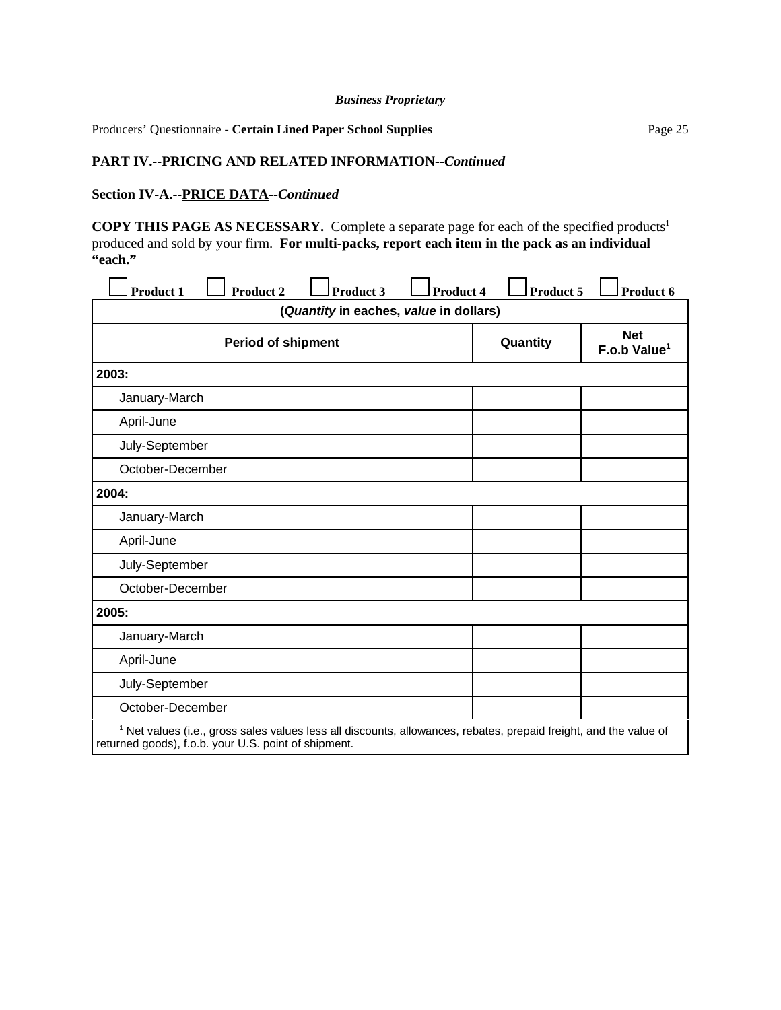Producers' Questionnaire - **Certain Lined Paper School Supplies** Page 25

## **PART IV.--PRICING AND RELATED INFORMATION--***Continued*

#### **Section IV-A.--PRICE DATA--***Continued*

**COPY THIS PAGE AS NECESSARY.** Complete a separate page for each of the specified products<sup>1</sup> produced and sold by your firm. **For multi-packs, report each item in the pack as an individual "each."**

| <b>Product 1</b><br><b>Product 2</b><br><b>Product 3</b><br><b>Product 4</b>                                                                                                         | Product 5 | Product 6                              |
|--------------------------------------------------------------------------------------------------------------------------------------------------------------------------------------|-----------|----------------------------------------|
| (Quantity in eaches, value in dollars)                                                                                                                                               |           |                                        |
| <b>Period of shipment</b>                                                                                                                                                            | Quantity  | <b>Net</b><br>F.o.b Value <sup>1</sup> |
| 2003:                                                                                                                                                                                |           |                                        |
| January-March                                                                                                                                                                        |           |                                        |
| April-June                                                                                                                                                                           |           |                                        |
| July-September                                                                                                                                                                       |           |                                        |
| October-December                                                                                                                                                                     |           |                                        |
| 2004:                                                                                                                                                                                |           |                                        |
| January-March                                                                                                                                                                        |           |                                        |
| April-June                                                                                                                                                                           |           |                                        |
| July-September                                                                                                                                                                       |           |                                        |
| October-December                                                                                                                                                                     |           |                                        |
| 2005:                                                                                                                                                                                |           |                                        |
| January-March                                                                                                                                                                        |           |                                        |
| April-June                                                                                                                                                                           |           |                                        |
| July-September                                                                                                                                                                       |           |                                        |
| October-December                                                                                                                                                                     |           |                                        |
| <sup>1</sup> Net values (i.e., gross sales values less all discounts, allowances, rebates, prepaid freight, and the value of<br>returned goods), f.o.b. your U.S. point of shipment. |           |                                        |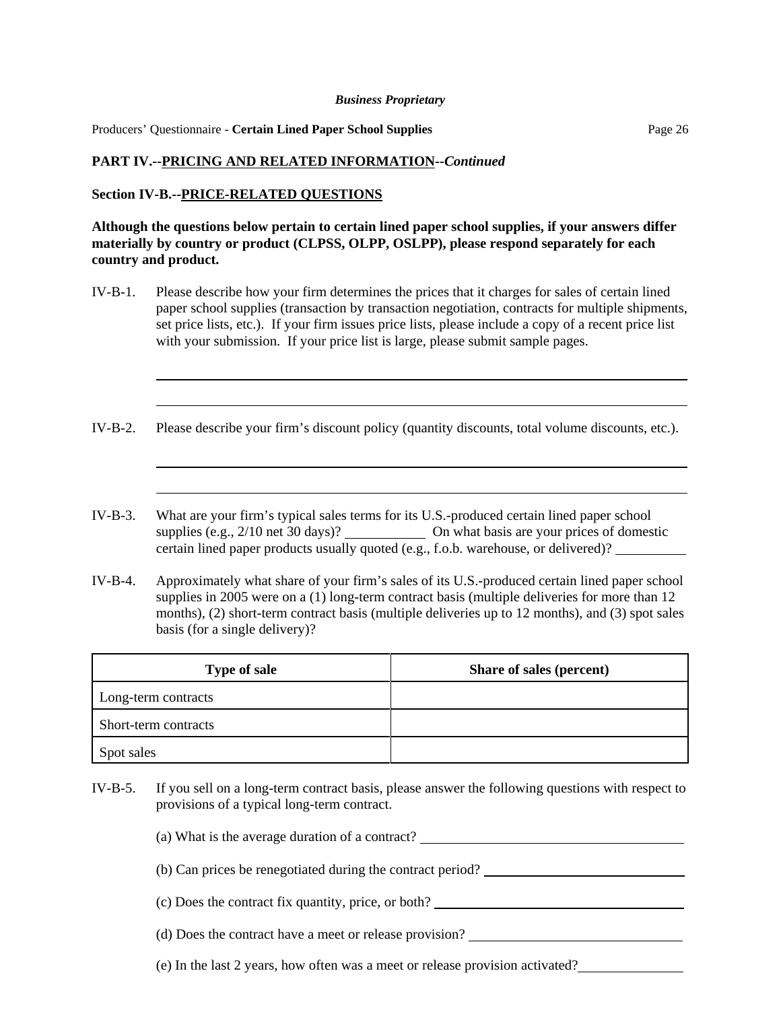Producers' Questionnaire - **Certain Lined Paper School Supplies** Page 26

#### **PART IV.--PRICING AND RELATED INFORMATION--***Continued*

#### **Section IV-B.--PRICE-RELATED QUESTIONS**

l

l

l

l

**Although the questions below pertain to certain lined paper school supplies, if your answers differ materially by country or product (CLPSS, OLPP, OSLPP), please respond separately for each country and product.**

- IV-B-1. Please describe how your firm determines the prices that it charges for sales of certain lined paper school supplies (transaction by transaction negotiation, contracts for multiple shipments, set price lists, etc.). If your firm issues price lists, please include a copy of a recent price list with your submission. If your price list is large, please submit sample pages.
- IV-B-2. Please describe your firm's discount policy (quantity discounts, total volume discounts, etc.).
- IV-B-3. What are your firm's typical sales terms for its U.S.-produced certain lined paper school supplies (e.g., 2/10 net 30 days)? On what basis are your prices of domestic certain lined paper products usually quoted (e.g., f.o.b. warehouse, or delivered)?
- IV-B-4. Approximately what share of your firm's sales of its U.S.-produced certain lined paper school supplies in 2005 were on a (1) long-term contract basis (multiple deliveries for more than 12 months), (2) short-term contract basis (multiple deliveries up to 12 months), and (3) spot sales basis (for a single delivery)?

| <b>Type of sale</b>  | Share of sales (percent) |
|----------------------|--------------------------|
| Long-term contracts  |                          |
| Short-term contracts |                          |
| Spot sales           |                          |

- IV-B-5. If you sell on a long-term contract basis, please answer the following questions with respect to provisions of a typical long-term contract.
	- (a) What is the average duration of a contract?
	- (b) Can prices be renegotiated during the contract period?
	- (c) Does the contract fix quantity, price, or both?
	- (d) Does the contract have a meet or release provision?
	- (e) In the last 2 years, how often was a meet or release provision activated?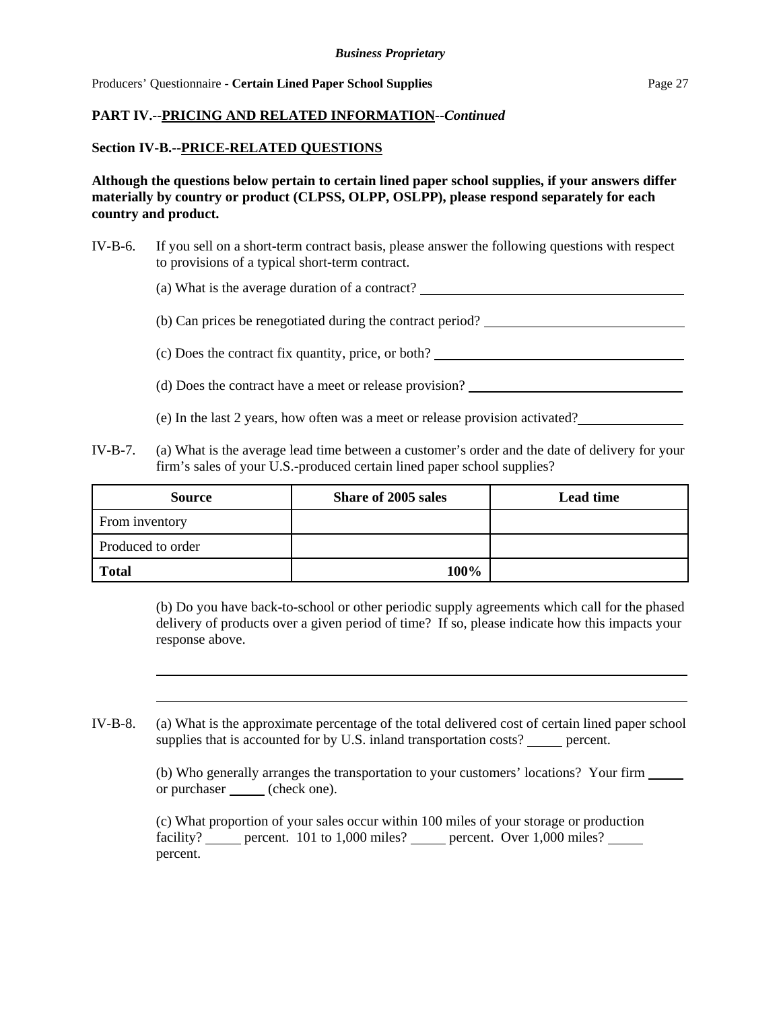## **PART IV.--PRICING AND RELATED INFORMATION--***Continued*

#### **Section IV-B.--PRICE-RELATED QUESTIONS**

l

l

**Although the questions below pertain to certain lined paper school supplies, if your answers differ materially by country or product (CLPSS, OLPP, OSLPP), please respond separately for each country and product.**

IV-B-6. If you sell on a short-term contract basis, please answer the following questions with respect to provisions of a typical short-term contract.

(a) What is the average duration of a contract?

(b) Can prices be renegotiated during the contract period?

(c) Does the contract fix quantity, price, or both?

- (d) Does the contract have a meet or release provision?
- (e) In the last 2 years, how often was a meet or release provision activated?
- IV-B-7. (a) What is the average lead time between a customer's order and the date of delivery for your firm's sales of your U.S.-produced certain lined paper school supplies?

| <b>Source</b>     | Share of 2005 sales | <b>Lead time</b> |
|-------------------|---------------------|------------------|
| From inventory    |                     |                  |
| Produced to order |                     |                  |
| <b>Total</b>      | 100%                |                  |

(b) Do you have back-to-school or other periodic supply agreements which call for the phased delivery of products over a given period of time? If so, please indicate how this impacts your response above.

IV-B-8. (a) What is the approximate percentage of the total delivered cost of certain lined paper school supplies that is accounted for by U.S. inland transportation costs? percent.

> (b) Who generally arranges the transportation to your customers' locations? Your firm or purchaser (check one).

(c) What proportion of your sales occur within 100 miles of your storage or production facility? percent. 101 to 1,000 miles? percent. Over 1,000 miles? percent.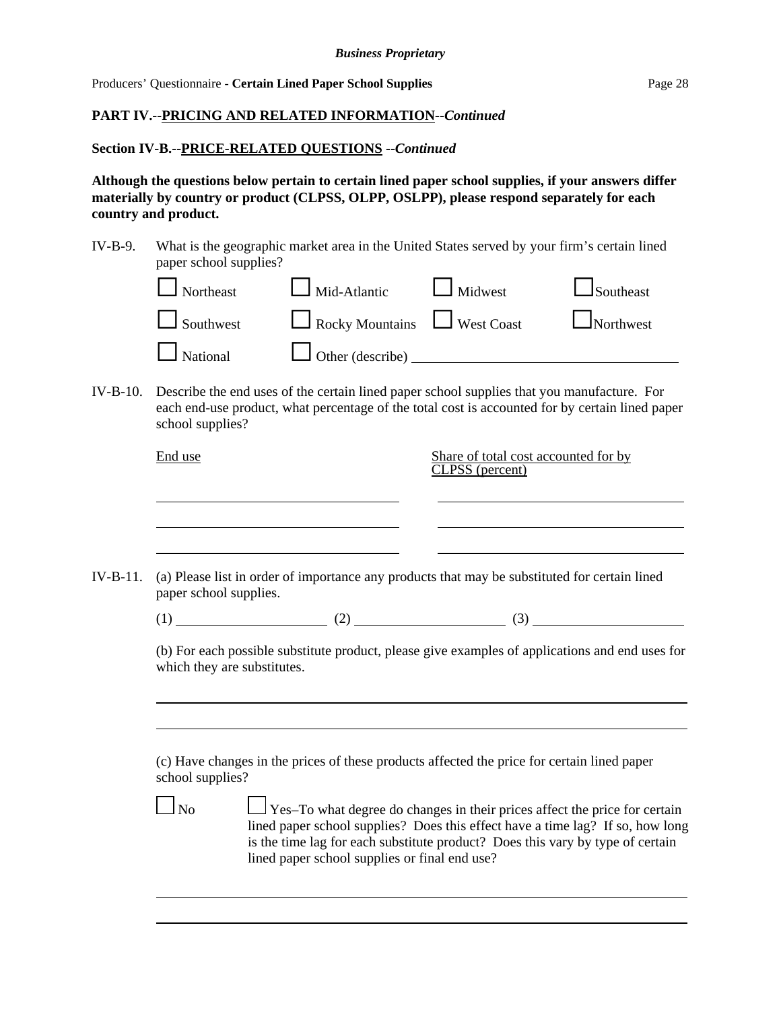Producers' Questionnaire - **Certain Lined Paper School Supplies** Page 28

# **PART IV.--PRICING AND RELATED INFORMATION--***Continued*

#### **Section IV-B.--PRICE-RELATED QUESTIONS --***Continued*

l

**Although the questions below pertain to certain lined paper school supplies, if your answers differ materially by country or product (CLPSS, OLPP, OSLPP), please respond separately for each country and product.**

IV-B-9. What is the geographic market area in the United States served by your firm's certain lined paper school supplies?

| $\Box$ Northeast | $\Box$ Mid-Atlantic $\Box$ Midwest |                                      | $\Box$ Southeast |
|------------------|------------------------------------|--------------------------------------|------------------|
| $\Box$ Southwest |                                    | Rocky Mountains Nest Coast Northwest |                  |
| $\Box$ National  | Other (describe) $\_\_\_\_\_\_\_\$ |                                      |                  |

IV-B-10. Describe the end uses of the certain lined paper school supplies that you manufacture. For each end-use product, what percentage of the total cost is accounted for by certain lined paper school supplies?

|          | End use                     |                                               | Share of total cost accounted for by<br>CLPSS (percent)                                                                                                                                                                                        |  |
|----------|-----------------------------|-----------------------------------------------|------------------------------------------------------------------------------------------------------------------------------------------------------------------------------------------------------------------------------------------------|--|
| IV-B-11. | paper school supplies.      |                                               | (a) Please list in order of importance any products that may be substituted for certain lined                                                                                                                                                  |  |
|          |                             |                                               | $(1)$ (2) (3)                                                                                                                                                                                                                                  |  |
|          | which they are substitutes. |                                               | (b) For each possible substitute product, please give examples of applications and end uses for                                                                                                                                                |  |
|          | school supplies?            |                                               | (c) Have changes in the prices of these products affected the price for certain lined paper                                                                                                                                                    |  |
|          | $\Box$ No                   | lined paper school supplies or final end use? | Yes-To what degree do changes in their prices affect the price for certain<br>lined paper school supplies? Does this effect have a time lag? If so, how long<br>is the time lag for each substitute product? Does this vary by type of certain |  |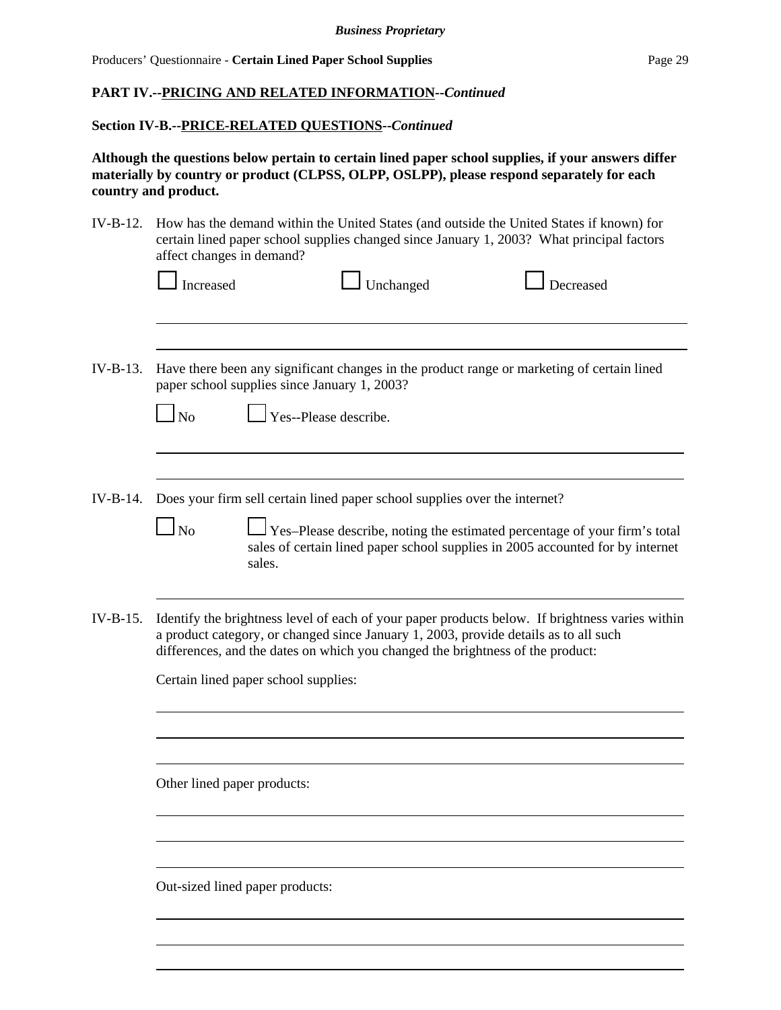## **PART IV.--PRICING AND RELATED INFORMATION--***Continued*

#### **Section IV-B.--PRICE-RELATED QUESTIONS--***Continued*

**Although the questions below pertain to certain lined paper school supplies, if your answers differ materially by country or product (CLPSS, OLPP, OSLPP), please respond separately for each country and product.**

| $IV-B-12.$ | How has the demand within the United States (and outside the United States if known) for<br>certain lined paper school supplies changed since January 1, 2003? What principal factors<br>affect changes in demand?                                                        |
|------------|---------------------------------------------------------------------------------------------------------------------------------------------------------------------------------------------------------------------------------------------------------------------------|
|            | Increased<br>Unchanged<br>Decreased                                                                                                                                                                                                                                       |
|            |                                                                                                                                                                                                                                                                           |
| $IV-B-13.$ | Have there been any significant changes in the product range or marketing of certain lined<br>paper school supplies since January 1, 2003?                                                                                                                                |
|            | Yes--Please describe.<br>$\ln$                                                                                                                                                                                                                                            |
|            |                                                                                                                                                                                                                                                                           |
| $IV-B-14.$ | Does your firm sell certain lined paper school supplies over the internet?<br>N <sub>o</sub><br>Yes-Please describe, noting the estimated percentage of your firm's total<br>sales of certain lined paper school supplies in 2005 accounted for by internet               |
|            | sales.                                                                                                                                                                                                                                                                    |
| $IV-B-15.$ | Identify the brightness level of each of your paper products below. If brightness varies within<br>a product category, or changed since January 1, 2003, provide details as to all such<br>differences, and the dates on which you changed the brightness of the product: |
|            | Certain lined paper school supplies:                                                                                                                                                                                                                                      |
|            |                                                                                                                                                                                                                                                                           |
|            |                                                                                                                                                                                                                                                                           |
|            | Other lined paper products:                                                                                                                                                                                                                                               |
|            |                                                                                                                                                                                                                                                                           |
|            | Out-sized lined paper products:                                                                                                                                                                                                                                           |
|            |                                                                                                                                                                                                                                                                           |

l l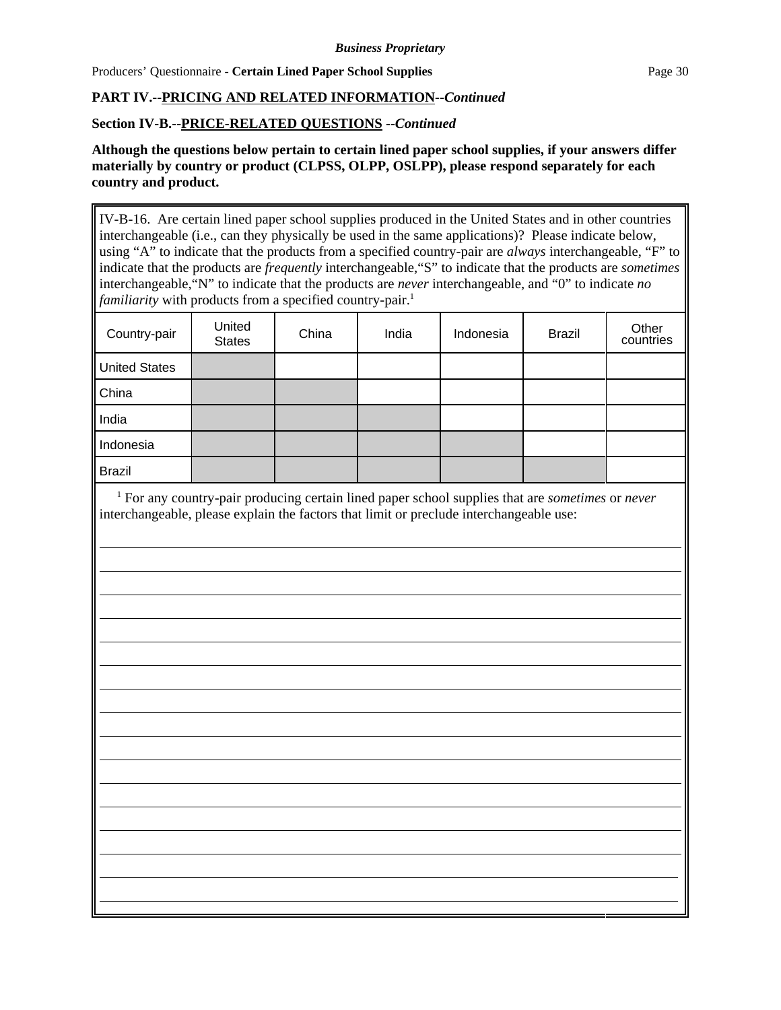Producers' Ouestionnaire - **Certain Lined Paper School Supplies** Page 30

l

# **PART IV.--PRICING AND RELATED INFORMATION--***Continued*

# **Section IV-B.--PRICE-RELATED QUESTIONS --***Continued*

**Although the questions below pertain to certain lined paper school supplies, if your answers differ materially by country or product (CLPSS, OLPP, OSLPP), please respond separately for each country and product.**

IV-B-16. Are certain lined paper school supplies produced in the United States and in other countries interchangeable (i.e., can they physically be used in the same applications)? Please indicate below, using "A" to indicate that the products from a specified country-pair are *always* interchangeable, "F" to indicate that the products are *frequently* interchangeable,"S" to indicate that the products are *sometimes* interchangeable,"N" to indicate that the products are *never* interchangeable, and "0" to indicate *no familiarity* with products from a specified country-pair.<sup>1</sup>

| Country-pair         | United<br><b>States</b> | China | India | Indonesia | <b>Brazil</b> | Other<br>countries |
|----------------------|-------------------------|-------|-------|-----------|---------------|--------------------|
| <b>United States</b> |                         |       |       |           |               |                    |
| China                |                         |       |       |           |               |                    |
| India                |                         |       |       |           |               |                    |
| Indonesia            |                         |       |       |           |               |                    |
| <b>Brazil</b>        |                         |       |       |           |               |                    |

 <sup>1</sup> For any country-pair producing certain lined paper school supplies that are *sometimes* or *never* interchangeable, please explain the factors that limit or preclude interchangeable use:

>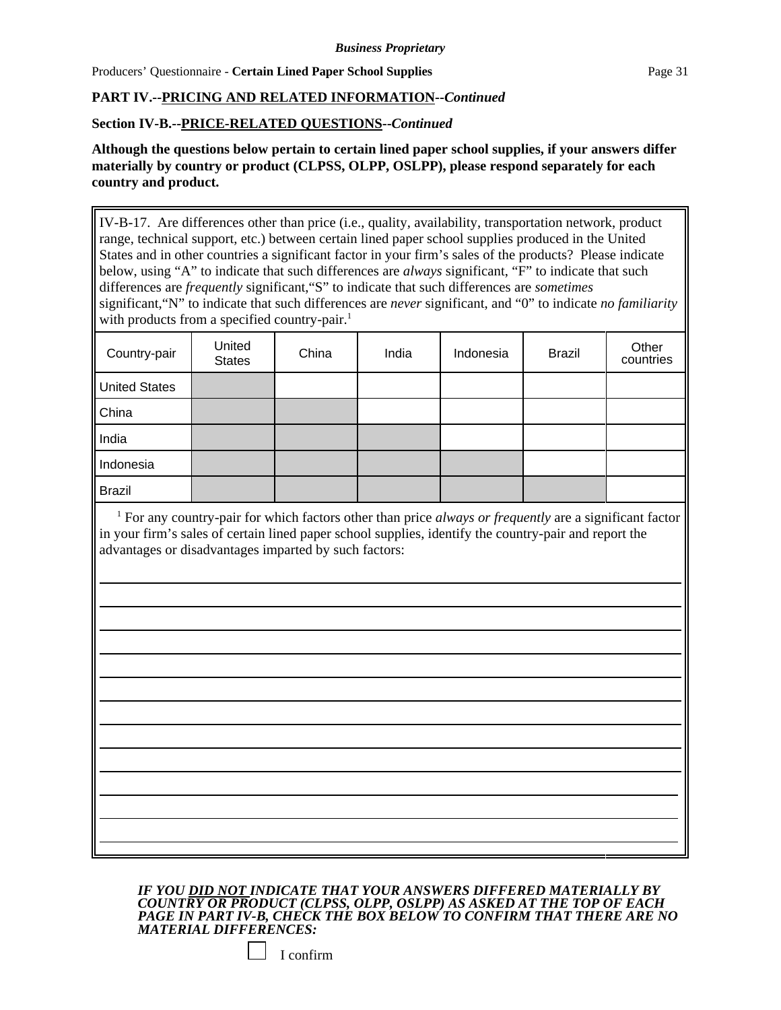Producers' Ouestionnaire - **Certain Lined Paper School Supplies** Page 31

l

# **PART IV.--PRICING AND RELATED INFORMATION--***Continued*

## **Section IV-B.--PRICE-RELATED QUESTIONS--***Continued*

**Although the questions below pertain to certain lined paper school supplies, if your answers differ materially by country or product (CLPSS, OLPP, OSLPP), please respond separately for each country and product.**

IV-B-17. Are differences other than price (i.e., quality, availability, transportation network, product range, technical support, etc.) between certain lined paper school supplies produced in the United States and in other countries a significant factor in your firm's sales of the products? Please indicate below, using "A" to indicate that such differences are *always* significant, "F" to indicate that such differences are *frequently* significant,"S" to indicate that such differences are *sometimes* significant,"N" to indicate that such differences are *never* significant, and "0" to indicate *no familiarity* with products from a specified country-pair.<sup>1</sup>

| Country-pair         | United<br><b>States</b> | China | India | Indonesia | <b>Brazil</b> | Other<br>countries |
|----------------------|-------------------------|-------|-------|-----------|---------------|--------------------|
| <b>United States</b> |                         |       |       |           |               |                    |
| China                |                         |       |       |           |               |                    |
| India                |                         |       |       |           |               |                    |
| Indonesia            |                         |       |       |           |               |                    |
| <b>Brazil</b>        |                         |       |       |           |               |                    |

<sup>1</sup> For any country-pair for which factors other than price *always or frequently* are a significant factor in your firm's sales of certain lined paper school supplies, identify the country-pair and report the advantages or disadvantages imparted by such factors:

> 

*IF YOU DID NOT INDICATE THAT YOUR ANSWERS DIFFERED MATERIALLY BY COUNTRY OR PRODUCT (CLPSS, OLPP, OSLPP) AS ASKED AT THE TOP OF EACH PAGE IN PART IV-B, CHECK THE BOX BELOW TO CONFIRM THAT THERE ARE NO MATERIAL DIFFERENCES:* 

| confirm |
|---------|
|         |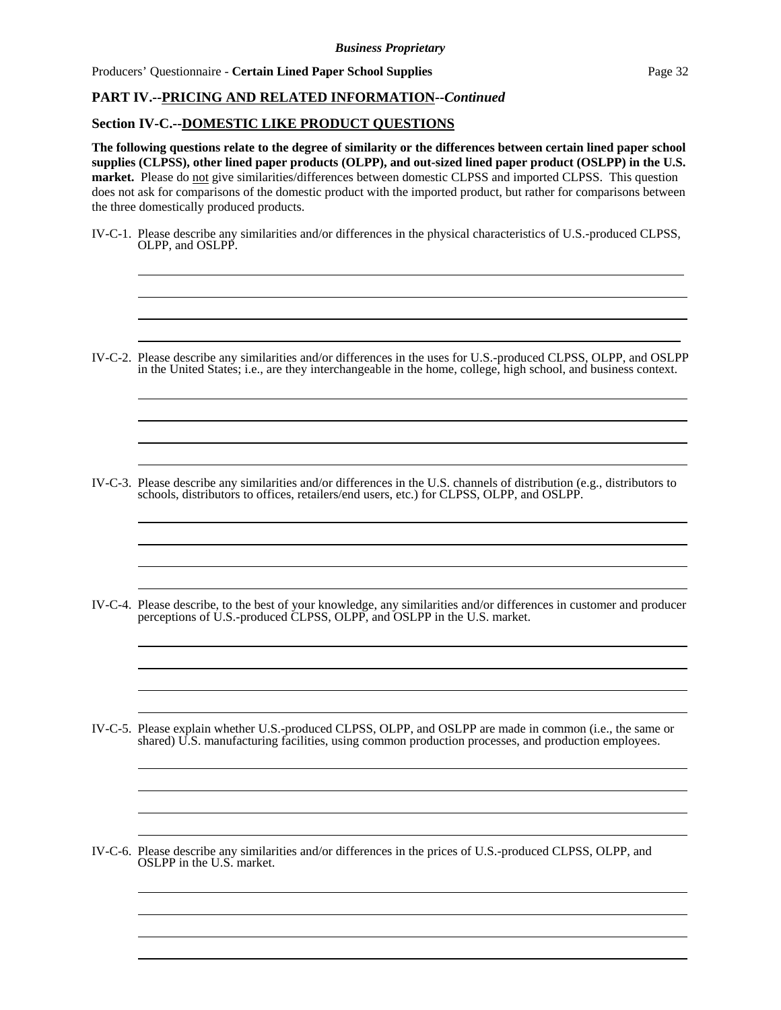Producers' Ouestionnaire - **Certain Lined Paper School Supplies** Page 32

l l

 $\overline{a}$ l

 $\overline{a}$ l

 $\overline{a}$ l

 $\overline{\phantom{a}}$ l

l  $\overline{\phantom{a}}$ 

# **PART IV.--PRICING AND RELATED INFORMATION--***Continued*

#### **Section IV-C.--DOMESTIC LIKE PRODUCT QUESTIONS**

**The following questions relate to the degree of similarity or the differences between certain lined paper school supplies (CLPSS), other lined paper products (OLPP), and out-sized lined paper product (OSLPP) in the U.S. market.** Please do not give similarities/differences between domestic CLPSS and imported CLPSS. This question does not ask for comparisons of the domestic product with the imported product, but rather for comparisons between the three domestically produced products.

- IV-C-1. Please describe any similarities and/or differences in the physical characteristics of U.S.-produced CLPSS, OLPP, and OSLPP.
- IV-C-2. Please describe any similarities and/or differences in the uses for U.S.-produced CLPSS, OLPP, and OSLPP in the United States; i.e., are they interchangeable in the home, college, high school, and business context.

 

 

 

 

 

 

- IV-C-3. Please describe any similarities and/or differences in the U.S. channels of distribution (e.g., distributors to schools, distributors to offices, retailers/end users, etc.) for CLPSS, OLPP, and OSLPP.
- IV-C-4. Please describe, to the best of your knowledge, any similarities and/or differences in customer and producer perceptions of U.S.-produced CLPSS, OLPP, and OSLPP in the U.S. market.
- IV-C-5. Please explain whether U.S.-produced CLPSS, OLPP, and OSLPP are made in common (i.e., the same or shared) U.S. manufacturing facilities, using common production processes, and production employees.
- IV-C-6. Please describe any similarities and/or differences in the prices of U.S.-produced CLPSS, OLPP, and OSLPP in the U.S. market.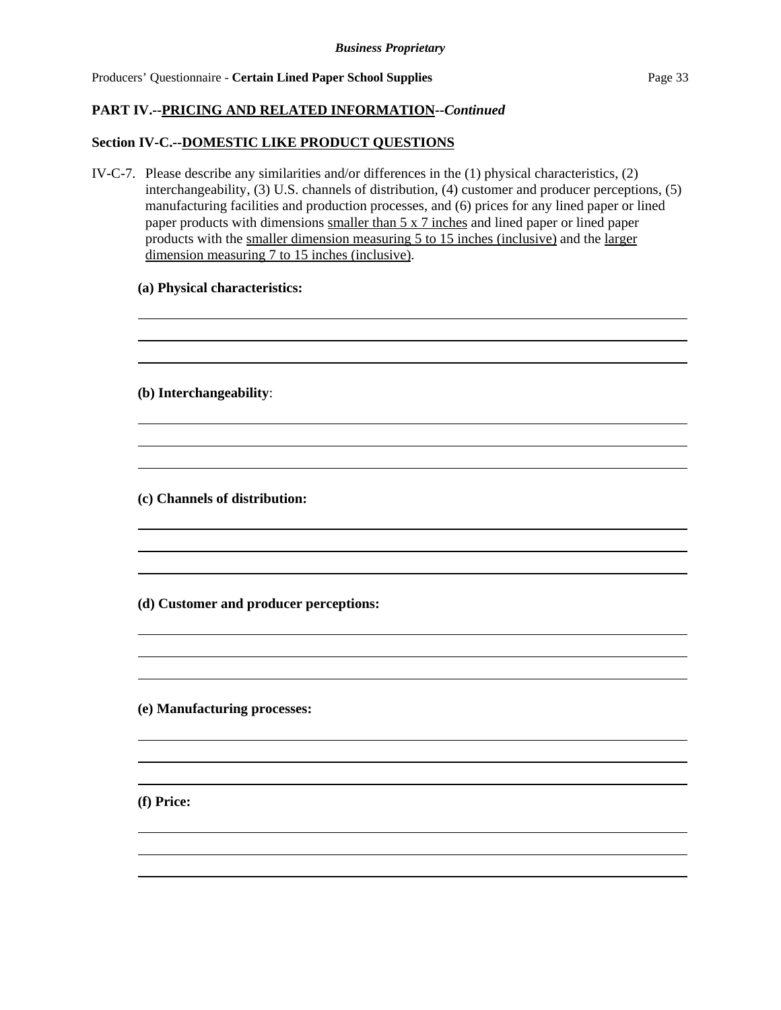## **PART IV.--PRICING AND RELATED INFORMATION--***Continued*

#### **Section IV-C.--DOMESTIC LIKE PRODUCT QUESTIONS**

IV-C-7. Please describe any similarities and/or differences in the (1) physical characteristics, (2) interchangeability, (3) U.S. channels of distribution, (4) customer and producer perceptions, (5) manufacturing facilities and production processes, and (6) prices for any lined paper or lined paper products with dimensions smaller than 5 x 7 inches and lined paper or lined paper products with the smaller dimension measuring 5 to 15 inches (inclusive) and the larger dimension measuring 7 to 15 inches (inclusive).

the control of the control of the control of the control of the control of the control of the control of the control of the control of the control of the control of the control of the control of the control of the control

## **(a) Physical characteristics:**

**(b) Interchangeability**:

l

l

l

l

l

**(c) Channels of distribution:**

**(d) Customer and producer perceptions:**

**(e) Manufacturing processes:**

**(f) Price:**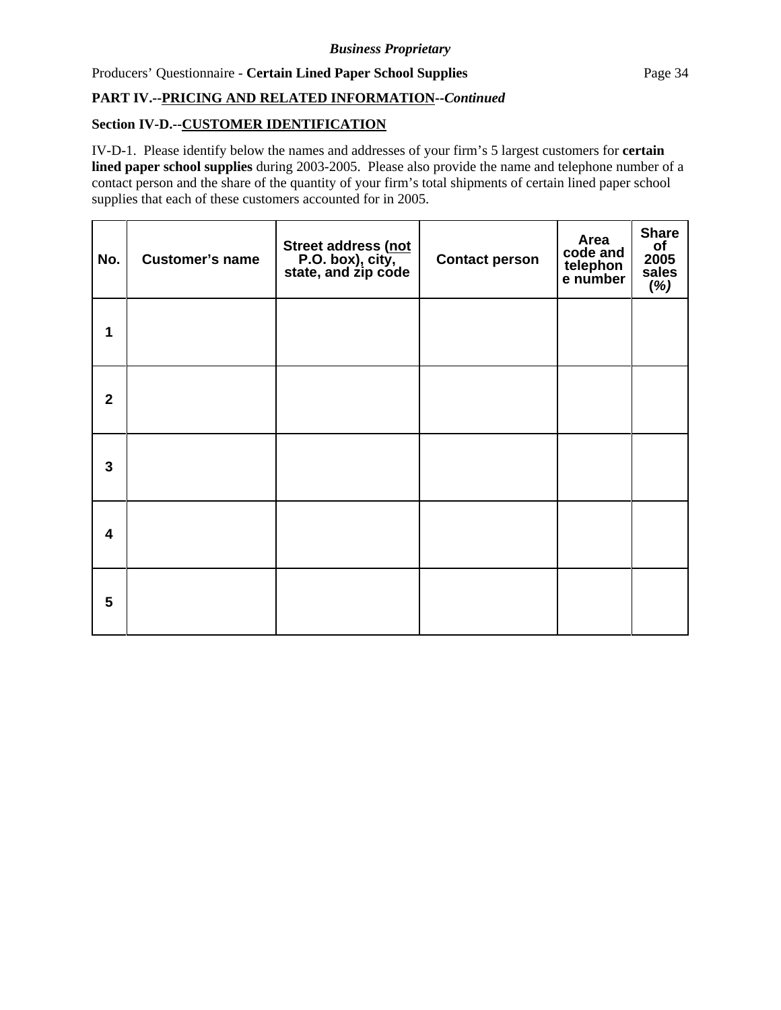Producers' Questionnaire - **Certain Lined Paper School Supplies** Page 34

# **PART IV.--PRICING AND RELATED INFORMATION--***Continued*

# **Section IV-D.--CUSTOMER IDENTIFICATION**

IV-D-1. Please identify below the names and addresses of your firm's 5 largest customers for **certain lined paper school supplies** during 2003-2005. Please also provide the name and telephone number of a contact person and the share of the quantity of your firm's total shipments of certain lined paper school supplies that each of these customers accounted for in 2005.

| No.                     | <b>Customer's name</b> | Street address (not<br>P.O. box), city,<br>state, and zip code | <b>Contact person</b> | Area<br>code and<br>telephon<br>e number | <b>Share</b><br>$\frac{\text{of}}{2005}$<br>sales<br>$(\%)$ |
|-------------------------|------------------------|----------------------------------------------------------------|-----------------------|------------------------------------------|-------------------------------------------------------------|
| 1                       |                        |                                                                |                       |                                          |                                                             |
| $\mathbf{2}$            |                        |                                                                |                       |                                          |                                                             |
| 3                       |                        |                                                                |                       |                                          |                                                             |
| $\overline{\mathbf{4}}$ |                        |                                                                |                       |                                          |                                                             |
| 5                       |                        |                                                                |                       |                                          |                                                             |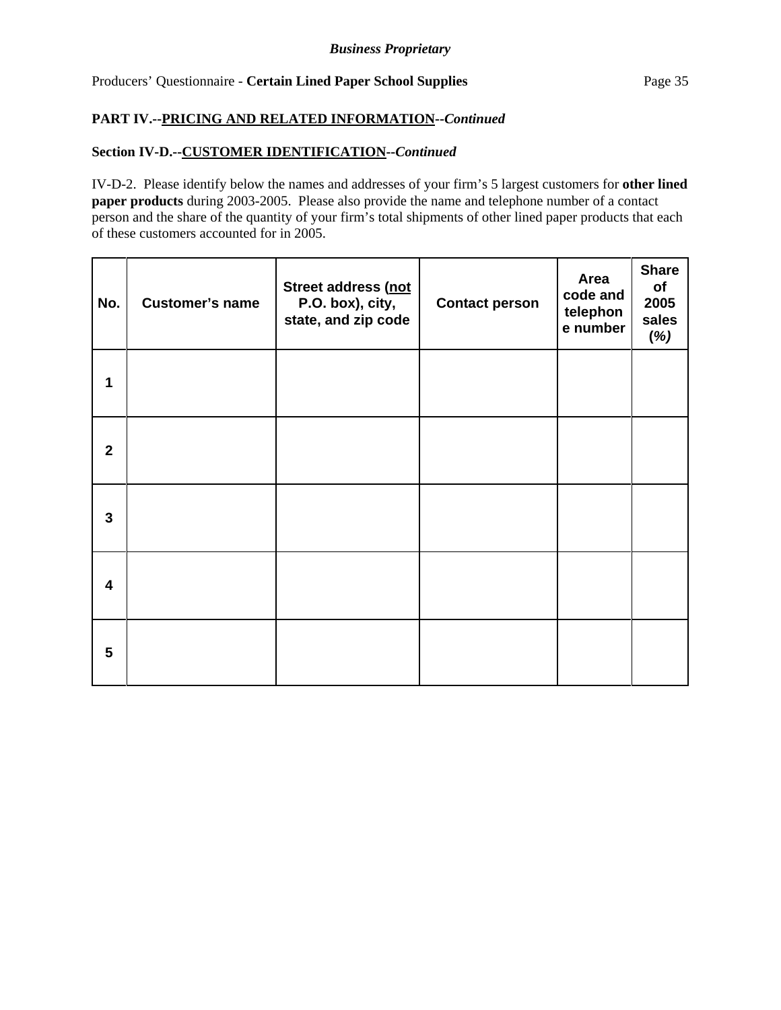# **PART IV.--PRICING AND RELATED INFORMATION--***Continued*

## **Section IV-D.--CUSTOMER IDENTIFICATION--***Continued*

IV-D-2. Please identify below the names and addresses of your firm's 5 largest customers for **other lined paper products** during 2003-2005. Please also provide the name and telephone number of a contact person and the share of the quantity of your firm's total shipments of other lined paper products that each of these customers accounted for in 2005.

| No.            | <b>Customer's name</b> | Street address (not<br>P.O. box), city,<br>state, and zip code | <b>Contact person</b> | Area<br>code and<br>telephon<br>e number | <b>Share</b><br>of<br>2005<br>sales<br>(%) |
|----------------|------------------------|----------------------------------------------------------------|-----------------------|------------------------------------------|--------------------------------------------|
| 1              |                        |                                                                |                       |                                          |                                            |
| $\overline{2}$ |                        |                                                                |                       |                                          |                                            |
| 3              |                        |                                                                |                       |                                          |                                            |
| 4              |                        |                                                                |                       |                                          |                                            |
| 5              |                        |                                                                |                       |                                          |                                            |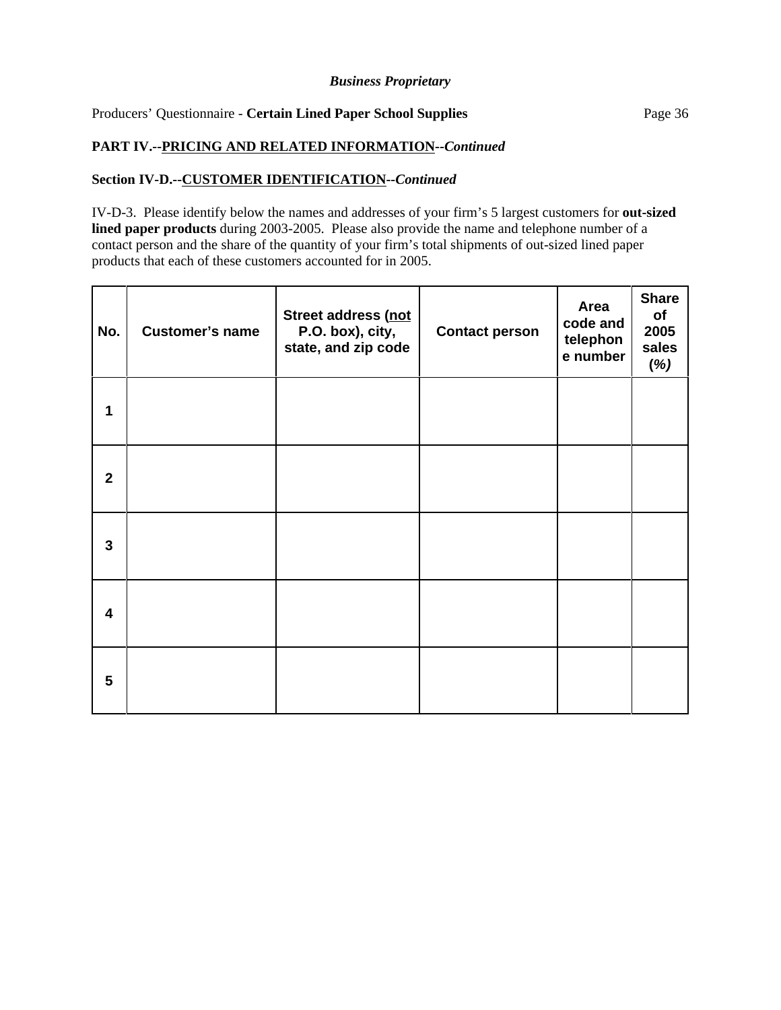## Producers' Questionnaire - **Certain Lined Paper School Supplies** Page 36

#### **PART IV.--PRICING AND RELATED INFORMATION--***Continued*

## **Section IV-D.--CUSTOMER IDENTIFICATION--***Continued*

IV-D-3. Please identify below the names and addresses of your firm's 5 largest customers for **out-sized lined paper products** during 2003-2005. Please also provide the name and telephone number of a contact person and the share of the quantity of your firm's total shipments of out-sized lined paper products that each of these customers accounted for in 2005.

| No.          | <b>Customer's name</b> | Street address (not<br>P.O. box), city,<br>state, and zip code | <b>Contact person</b> | Area<br>code and<br>telephon<br>e number | <b>Share</b><br>of<br>2005<br>sales<br>(%) |
|--------------|------------------------|----------------------------------------------------------------|-----------------------|------------------------------------------|--------------------------------------------|
| 1            |                        |                                                                |                       |                                          |                                            |
| $\mathbf{2}$ |                        |                                                                |                       |                                          |                                            |
| 3            |                        |                                                                |                       |                                          |                                            |
| 4            |                        |                                                                |                       |                                          |                                            |
| 5            |                        |                                                                |                       |                                          |                                            |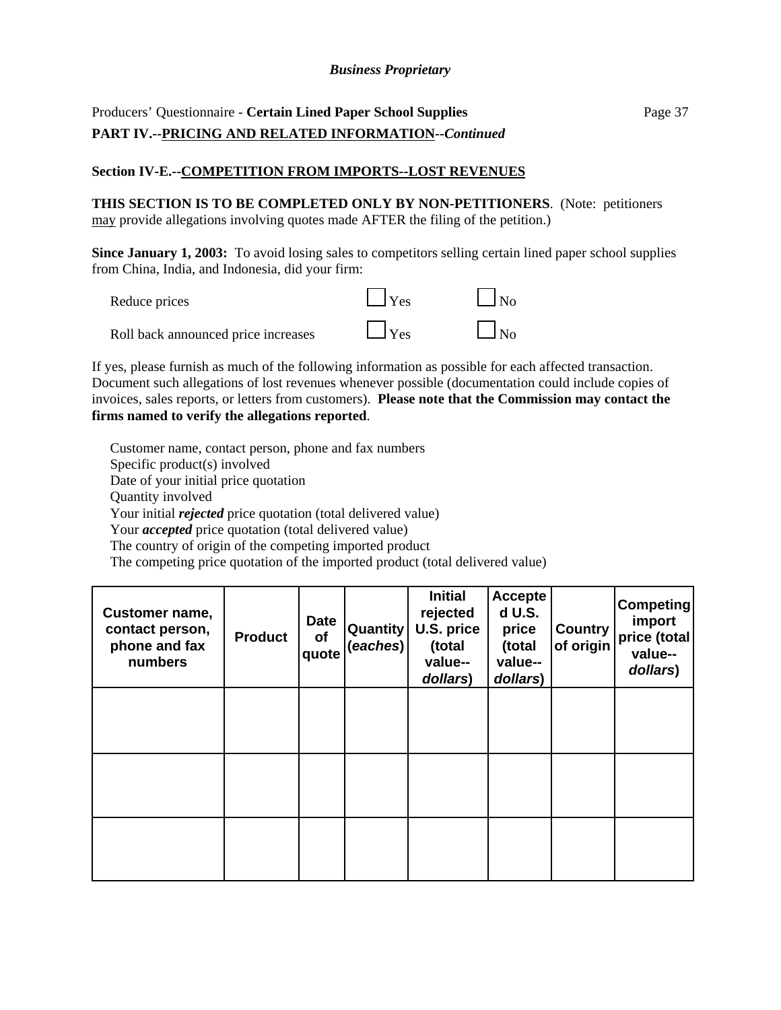# Producers' Questionnaire - **Certain Lined Paper School Supplies** Page 37 **PART IV.--PRICING AND RELATED INFORMATION--***Continued*

# **Section IV-E.--COMPETITION FROM IMPORTS--LOST REVENUES**

**THIS SECTION IS TO BE COMPLETED ONLY BY NON-PETITIONERS**. (Note: petitioners may provide allegations involving quotes made AFTER the filing of the petition.)

**Since January 1, 2003:** To avoid losing sales to competitors selling certain lined paper school supplies from China, India, and Indonesia, did your firm:

| Reduce prices                       | $\vert$ $\vert$ Yes | N <sub>0</sub> |
|-------------------------------------|---------------------|----------------|
| Roll back announced price increases | $\Box$ Yes          | $\Box$ No      |

If yes, please furnish as much of the following information as possible for each affected transaction. Document such allegations of lost revenues whenever possible (documentation could include copies of invoices, sales reports, or letters from customers). **Please note that the Commission may contact the firms named to verify the allegations reported**.

Customer name, contact person, phone and fax numbers Specific product(s) involved Date of your initial price quotation Quantity involved Your initial *rejected* price quotation (total delivered value) Your *accepted* price quotation (total delivered value) The country of origin of the competing imported product The competing price quotation of the imported product (total delivered value)

| <b>Customer name,</b><br>contact person,<br>phone and fax<br>numbers | <b>Product</b> | Date<br>of<br>quote | <b>Quantity</b><br>(eaches) | <b>Initial</b><br>rejected<br>U.S. price<br>(total<br>value--<br>dollars) | <b>Accepte</b><br>d U.S.<br>price<br>(total<br>value--<br>dollars) | <b>Country</b><br>of origin | <b>Competing</b><br>import<br>price (total<br>value--<br>dollars) |
|----------------------------------------------------------------------|----------------|---------------------|-----------------------------|---------------------------------------------------------------------------|--------------------------------------------------------------------|-----------------------------|-------------------------------------------------------------------|
|                                                                      |                |                     |                             |                                                                           |                                                                    |                             |                                                                   |
|                                                                      |                |                     |                             |                                                                           |                                                                    |                             |                                                                   |
|                                                                      |                |                     |                             |                                                                           |                                                                    |                             |                                                                   |